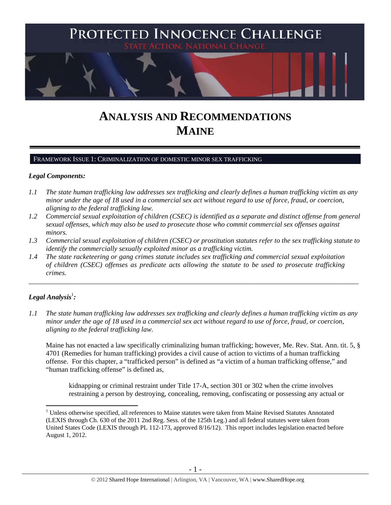

# **ANALYSIS AND RECOMMENDATIONS MAINE**

#### FRAMEWORK ISSUE 1: CRIMINALIZATION OF DOMESTIC MINOR SEX TRAFFICKING

#### *Legal Components:*

- *1.1 The state human trafficking law addresses sex trafficking and clearly defines a human trafficking victim as any minor under the age of 18 used in a commercial sex act without regard to use of force, fraud, or coercion, aligning to the federal trafficking law.*
- *1.2 Commercial sexual exploitation of children (CSEC) is identified as a separate and distinct offense from general sexual offenses, which may also be used to prosecute those who commit commercial sex offenses against minors.*
- *1.3 Commercial sexual exploitation of children (CSEC) or prostitution statutes refer to the sex trafficking statute to identify the commercially sexually exploited minor as a trafficking victim.*

\_\_\_\_\_\_\_\_\_\_\_\_\_\_\_\_\_\_\_\_\_\_\_\_\_\_\_\_\_\_\_\_\_\_\_\_\_\_\_\_\_\_\_\_\_\_\_\_\_\_\_\_\_\_\_\_\_\_\_\_\_\_\_\_\_\_\_\_\_\_\_\_\_\_\_\_\_\_\_\_\_\_\_\_\_\_\_\_\_\_\_\_\_\_

*1.4 The state racketeering or gang crimes statute includes sex trafficking and commercial sexual exploitation of children (CSEC) offenses as predicate acts allowing the statute to be used to prosecute trafficking crimes.* 

## $\bm{\mathit{Legal\, Analysis^{\text{!}}:}}$

 $\overline{a}$ 

*1.1 The state human trafficking law addresses sex trafficking and clearly defines a human trafficking victim as any minor under the age of 18 used in a commercial sex act without regard to use of force, fraud, or coercion, aligning to the federal trafficking law.*

Maine has not enacted a law specifically criminalizing human trafficking; however, Me. Rev. Stat. Ann. tit. 5, § 4701 (Remedies for human trafficking) provides a civil cause of action to victims of a human trafficking offense. For this chapter, a "trafficked person" is defined as "a victim of a human trafficking offense," and "human trafficking offense" is defined as,

kidnapping or criminal restraint under Title 17-A, section 301 or 302 when the crime involves restraining a person by destroying, concealing, removing, confiscating or possessing any actual or

<sup>&</sup>lt;sup>1</sup> Unless otherwise specified, all references to Maine statutes were taken from Maine Revised Statutes Annotated (LEXIS through Ch. 630 of the 2011 2nd Reg. Sess. of the 125th Leg.) and all federal statutes were taken from United States Code (LEXIS through PL 112-173, approved 8/16/12). This report includes legislation enacted before August 1, 2012.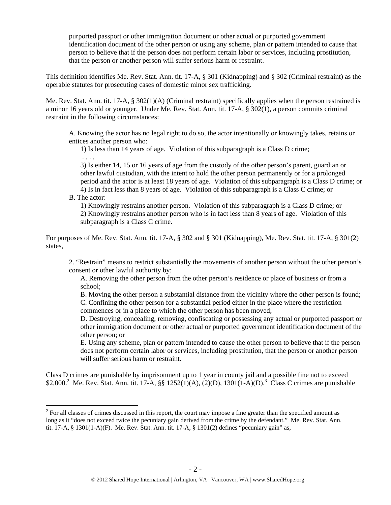purported passport or other immigration document or other actual or purported government identification document of the other person or using any scheme, plan or pattern intended to cause that person to believe that if the person does not perform certain labor or services, including prostitution, that the person or another person will suffer serious harm or restraint.

This definition identifies Me. Rev. Stat. Ann. tit. 17-A, § 301 (Kidnapping) and § 302 (Criminal restraint) as the operable statutes for prosecuting cases of domestic minor sex trafficking.

Me. Rev. Stat. Ann. tit. 17-A, § 302(1)(A) (Criminal restraint) specifically applies when the person restrained is a minor 16 years old or younger. Under Me. Rev. Stat. Ann. tit. 17-A, § 302(1), a person commits criminal restraint in the following circumstances:

A. Knowing the actor has no legal right to do so, the actor intentionally or knowingly takes, retains or entices another person who:

1) Is less than 14 years of age. Violation of this subparagraph is a Class D crime;

3) Is either 14, 15 or 16 years of age from the custody of the other person's parent, guardian or other lawful custodian, with the intent to hold the other person permanently or for a prolonged period and the actor is at least 18 years of age. Violation of this subparagraph is a Class D crime; or 4) Is in fact less than 8 years of age. Violation of this subparagraph is a Class C crime; or

## B. The actor:

 $\overline{a}$ 

. . . .

1) Knowingly restrains another person. Violation of this subparagraph is a Class D crime; or 2) Knowingly restrains another person who is in fact less than 8 years of age. Violation of this subparagraph is a Class C crime.

For purposes of Me. Rev. Stat. Ann. tit. 17-A, § 302 and § 301 (Kidnapping), Me. Rev. Stat. tit. 17-A, § 301(2) states,

2. "Restrain" means to restrict substantially the movements of another person without the other person's consent or other lawful authority by:

A. Removing the other person from the other person's residence or place of business or from a school;

B. Moving the other person a substantial distance from the vicinity where the other person is found; C. Confining the other person for a substantial period either in the place where the restriction commences or in a place to which the other person has been moved;

D. Destroying, concealing, removing, confiscating or possessing any actual or purported passport or other immigration document or other actual or purported government identification document of the other person; or

E. Using any scheme, plan or pattern intended to cause the other person to believe that if the person does not perform certain labor or services, including prostitution, that the person or another person will suffer serious harm or restraint.

Class D crimes are punishable by imprisonment up to 1 year in county jail and a possible fine not to exceed \$2,000.<sup>2</sup> Me. Rev. Stat. Ann. tit. 17-A, §§ 1252(1)(A), (2)(D), 1301(1-A)(D).<sup>3</sup> Class C crimes are punishable

 $2^{2}$  For all classes of crimes discussed in this report, the court may impose a fine greater than the specified amount as long as it "does not exceed twice the pecuniary gain derived from the crime by the defendant." Me. Rev. Stat. Ann. tit. 17-A, § 1301(1-A)(F). Me. Rev. Stat. Ann. tit. 17-A, § 1301(2) defines "pecuniary gain" as,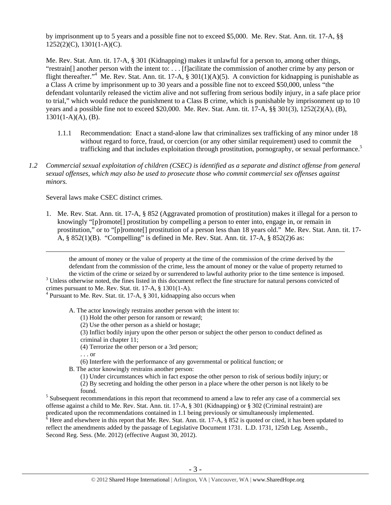by imprisonment up to 5 years and a possible fine not to exceed \$5,000. Me. Rev. Stat. Ann. tit. 17-A, §§ 1252(2)(C), 1301(1-A)(C).

Me. Rev. Stat. Ann. tit. 17-A, § 301 (Kidnapping) makes it unlawful for a person to, among other things, "restrain[] another person with the intent to: . . . [f]acilitate the commission of another crime by any person or flight thereafter."<sup>4</sup> Me. Rev. Stat. Ann. tit. 17-A, § 301(1)(A)(5). A conviction for kidnapping is punishable as a Class A crime by imprisonment up to 30 years and a possible fine not to exceed \$50,000, unless "the defendant voluntarily released the victim alive and not suffering from serious bodily injury, in a safe place prior to trial," which would reduce the punishment to a Class B crime, which is punishable by imprisonment up to 10 years and a possible fine not to exceed \$20,000. Me. Rev. Stat. Ann. tit. 17-A, §§ 301(3), 1252(2)(A), (B),  $1301(1-A)(A)$ , (B).

- 1.1.1 Recommendation: Enact a stand-alone law that criminalizes sex trafficking of any minor under 18 without regard to force, fraud, or coercion (or any other similar requirement) used to commit the trafficking and that includes exploitation through prostitution, pornography, or sexual performance.<sup>5</sup>
- *1.2 Commercial sexual exploitation of children (CSEC) is identified as a separate and distinct offense from general sexual offenses, which may also be used to prosecute those who commit commercial sex offenses against minors.*

Several laws make CSEC distinct crimes.

1. Me. Rev. Stat. Ann. tit. 17-A, § 852 (Aggravated promotion of prostitution) makes it illegal for a person to knowingly "[p]romote[] prostitution by compelling a person to enter into, engage in, or remain in prostitution," or to "[p]romote[] prostitution of a person less than 18 years old." Me. Rev. Stat. Ann. tit. 17- A,  $\S 852(1)(B)$ . "Compelling" is defined in Me. Rev. Stat. Ann. tit. 17-A,  $\S 852(2)6$  as:

 the amount of money or the value of property at the time of the commission of the crime derived by the defendant from the commission of the crime, less the amount of money or the value of property returned to the victim of the crime or seized by or surrendered to lawful authority prior to the time sentence is imposed.

<sup>3</sup> Unless otherwise noted, the fines listed in this document reflect the fine structure for natural persons convicted of crimes pursuant to Me. Rev. Stat. tit. 17-A, § 1301(1-A).

<sup>4</sup> Pursuant to Me. Rev. Stat. tit. 17-A, § 301, kidnapping also occurs when

A. The actor knowingly restrains another person with the intent to:

- (1) Hold the other person for ransom or reward;
- (2) Use the other person as a shield or hostage;
- (3) Inflict bodily injury upon the other person or subject the other person to conduct defined as criminal in chapter 11;
- (4) Terrorize the other person or a 3rd person;

. . . or

(6) Interfere with the performance of any governmental or political function; or

B. The actor knowingly restrains another person:

- (1) Under circumstances which in fact expose the other person to risk of serious bodily injury; or
- (2) By secreting and holding the other person in a place where the other person is not likely to be

predicated upon the recommendations contained in 1.1 being previously or simultaneously implemented.<br><sup>6</sup> Here and elsewhere in this report that Me. Rev. Stat. Ann. tit. 17-A, § 852 is quoted or cited, it has been updated t reflect the amendments added by the passage of Legislative Document 1731. L.D. 1731, 125th Leg. Assemb., Second Reg. Sess. (Me. 2012) (effective August 30, 2012).

found.<br><sup>5</sup> Subsequent recommendations in this report that recommend to amend a law to refer any case of a commercial sex offense against a child to Me. Rev. Stat. Ann. tit. 17-A, § 301 (Kidnapping) or § 302 (Criminal restraint) are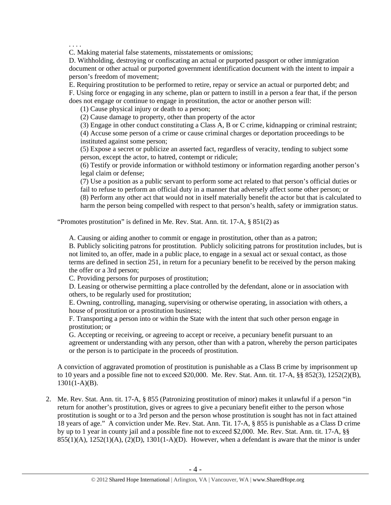. . . .

C. Making material false statements, misstatements or omissions;

D. Withholding, destroying or confiscating an actual or purported passport or other immigration document or other actual or purported government identification document with the intent to impair a person's freedom of movement;

E. Requiring prostitution to be performed to retire, repay or service an actual or purported debt; and F. Using force or engaging in any scheme, plan or pattern to instill in a person a fear that, if the person does not engage or continue to engage in prostitution, the actor or another person will:

(1) Cause physical injury or death to a person;

(2) Cause damage to property, other than property of the actor

(3) Engage in other conduct constituting a Class A, B or C crime, kidnapping or criminal restraint;

(4) Accuse some person of a crime or cause criminal charges or deportation proceedings to be instituted against some person;

(5) Expose a secret or publicize an asserted fact, regardless of veracity, tending to subject some person, except the actor, to hatred, contempt or ridicule;

(6) Testify or provide information or withhold testimony or information regarding another person's legal claim or defense;

(7) Use a position as a public servant to perform some act related to that person's official duties or fail to refuse to perform an official duty in a manner that adversely affect some other person; or (8) Perform any other act that would not in itself materially benefit the actor but that is calculated to harm the person being compelled with respect to that person's health, safety or immigration status.

"Promotes prostitution" is defined in Me. Rev. Stat. Ann. tit. 17-A, § 851(2) as

A. Causing or aiding another to commit or engage in prostitution, other than as a patron;

B. Publicly soliciting patrons for prostitution. Publicly soliciting patrons for prostitution includes, but is not limited to, an offer, made in a public place, to engage in a sexual act or sexual contact, as those terms are defined in section 251, in return for a pecuniary benefit to be received by the person making the offer or a 3rd person;

C. Providing persons for purposes of prostitution;

D. Leasing or otherwise permitting a place controlled by the defendant, alone or in association with others, to be regularly used for prostitution;

E. Owning, controlling, managing, supervising or otherwise operating, in association with others, a house of prostitution or a prostitution business;

F. Transporting a person into or within the State with the intent that such other person engage in prostitution; or

G. Accepting or receiving, or agreeing to accept or receive, a pecuniary benefit pursuant to an agreement or understanding with any person, other than with a patron, whereby the person participates or the person is to participate in the proceeds of prostitution.

A conviction of aggravated promotion of prostitution is punishable as a Class B crime by imprisonment up to 10 years and a possible fine not to exceed \$20,000. Me. Rev. Stat. Ann. tit. 17-A,  $\S$ § 852(3), 1252(2)(B), 1301(1-A)(B).

2. Me. Rev. Stat. Ann. tit. 17-A, § 855 (Patronizing prostitution of minor) makes it unlawful if a person "in return for another's prostitution, gives or agrees to give a pecuniary benefit either to the person whose prostitution is sought or to a 3rd person and the person whose prostitution is sought has not in fact attained 18 years of age." A conviction under Me. Rev. Stat. Ann. Tit. 17-A, § 855 is punishable as a Class D crime by up to 1 year in county jail and a possible fine not to exceed \$2,000. Me. Rev. Stat. Ann. tit. 17-A, §§  $855(1)(A)$ ,  $1252(1)(A)$ ,  $(2)(D)$ ,  $1301(1-A)(D)$ . However, when a defendant is aware that the minor is under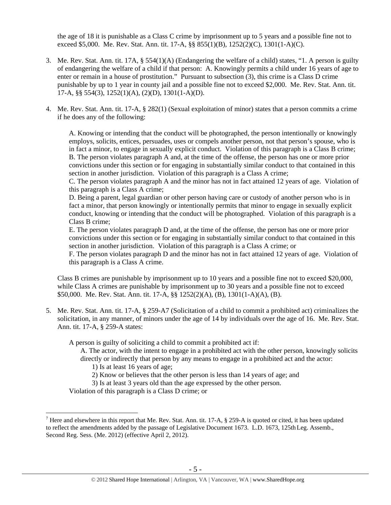the age of 18 it is punishable as a Class C crime by imprisonment up to 5 years and a possible fine not to exceed \$5,000. Me. Rev. Stat. Ann. tit. 17-A, §§ 855(1)(B), 1252(2)(C), 1301(1-A)(C).

- 3. Me. Rev. Stat. Ann. tit. 17A, § 554(1)(A) (Endangering the welfare of a child) states, "1. A person is guilty of endangering the welfare of a child if that person: A. Knowingly permits a child under 16 years of age to enter or remain in a house of prostitution." Pursuant to subsection (3), this crime is a Class D crime punishable by up to 1 year in county jail and a possible fine not to exceed \$2,000. Me. Rev. Stat. Ann. tit. 17-A, §§ 554(3), 1252(1)(A), (2)(D), 1301(1-A)(D).
- 4. Me. Rev. Stat. Ann. tit. 17-A, § 282(1) (Sexual exploitation of minor) states that a person commits a crime if he does any of the following:

A. Knowing or intending that the conduct will be photographed, the person intentionally or knowingly employs, solicits, entices, persuades, uses or compels another person, not that person's spouse, who is in fact a minor, to engage in sexually explicit conduct. Violation of this paragraph is a Class B crime; B. The person violates paragraph A and, at the time of the offense, the person has one or more prior convictions under this section or for engaging in substantially similar conduct to that contained in this section in another jurisdiction. Violation of this paragraph is a Class A crime;

C. The person violates paragraph A and the minor has not in fact attained 12 years of age. Violation of this paragraph is a Class A crime;

D. Being a parent, legal guardian or other person having care or custody of another person who is in fact a minor, that person knowingly or intentionally permits that minor to engage in sexually explicit conduct, knowing or intending that the conduct will be photographed. Violation of this paragraph is a Class B crime;

E. The person violates paragraph D and, at the time of the offense, the person has one or more prior convictions under this section or for engaging in substantially similar conduct to that contained in this section in another jurisdiction. Violation of this paragraph is a Class A crime; or

F. The person violates paragraph D and the minor has not in fact attained 12 years of age. Violation of this paragraph is a Class A crime.

Class B crimes are punishable by imprisonment up to 10 years and a possible fine not to exceed \$20,000, while Class A crimes are punishable by imprisonment up to 30 years and a possible fine not to exceed \$50,000. Me. Rev. Stat. Ann. tit. 17-A, §§ 1252(2)(A), (B), 1301(1-A)(A), (B).

5. Me. Rev. Stat. Ann. tit. 17-A, § 259-A7 (Solicitation of a child to commit a prohibited act) criminalizes the solicitation, in any manner, of minors under the age of 14 by individuals over the age of 16. Me. Rev. Stat. Ann. tit. 17-A, § 259-A states:

A person is guilty of soliciting a child to commit a prohibited act if:

A. The actor, with the intent to engage in a prohibited act with the other person, knowingly solicits directly or indirectly that person by any means to engage in a prohibited act and the actor:

1) Is at least 16 years of age;

 $\overline{a}$ 

2) Know or believes that the other person is less than 14 years of age; and

3) Is at least 3 years old than the age expressed by the other person.

Violation of this paragraph is a Class D crime; or

<sup>&</sup>lt;sup>7</sup> Here and elsewhere in this report that Me. Rev. Stat. Ann. tit. 17-A,  $\S$  259-A is quoted or cited, it has been updated to reflect the amendments added by the passage of Legislative Document 1673. L.D. 1673, 125th Leg. Assemb., Second Reg. Sess. (Me. 2012) (effective April 2, 2012).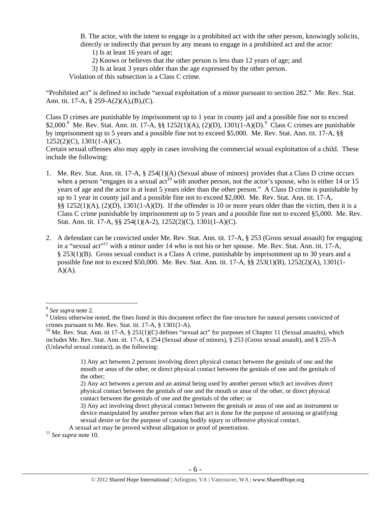B. The actor, with the intent to engage in a prohibited act with the other person, knowingly solicits, directly or indirectly that person by any means to engage in a prohibited act and the actor:

- 1) Is at least 16 years of age;
- 2) Knows or believes that the other person is less than 12 years of age; and
- 3) Is at least 3 years older than the age expressed by the other person.

Violation of this subsection is a Class C crime.

"Prohibited act" is defined to include "sexual exploitation of a minor pursuant to section 282." Me. Rev. Stat. Ann. tit. 17-A, § 259-A(2)(A),(B),(C).

Class D crimes are punishable by imprisonment up to 1 year in county jail and a possible fine not to exceed \$2,000.<sup>8</sup> Me. Rev. Stat. Ann. tit. 17-A, §§ 1252(1)(A), (2)(D), 1301(1-A)(D).<sup>9</sup> Class C crimes are punishable by imprisonment up to 5 years and a possible fine not to exceed \$5,000. Me. Rev. Stat. Ann. tit. 17-A, §§ 1252(2)(C), 1301(1-A)(C).

Certain sexual offenses also may apply in cases involving the commercial sexual exploitation of a child. These include the following:

- 1. Me. Rev. Stat. Ann. tit. 17-A, § 254(1)(A) (Sexual abuse of minors) provides that a Class D crime occurs when a person "engages in a sexual act<sup>10</sup> with another person, not the actor's spouse, who is either 14 or 15 years of age and the actor is at least 5 years older than the other person." A Class D crime is punishable by up to 1 year in county jail and a possible fine not to exceed \$2,000. Me. Rev. Stat. Ann. tit. 17-A, §§ 1252(1)(A), (2)(D), 1301(1-A)(D). If the offender is 10 or more years older than the victim, then it is a Class C crime punishable by imprisonment up to 5 years and a possible fine not to exceed §5,000. Me. Rev. Stat. Ann. tit. 17-A, §§ 254(1)(A-2), 1252(2)(C), 1301(1-A)(C).
- 2. A defendant can be convicted under Me. Rev. Stat. Ann. tit. 17-A, § 253 (Gross sexual assault) for engaging in a "sexual act"<sup>11</sup> with a minor under 14 who is not his or her spouse. Me. Rev. Stat. Ann. tit. 17-A, § 253(1)(B). Gross sexual conduct is a Class A crime, punishable by imprisonment up to 30 years and a possible fine not to exceed \$50,000. Me. Rev. Stat. Ann. tit. 17-A, §§ 253(1)(B), 1252(2)(A), 1301(1-  $A)(A)$ .

 $\overline{a}$ 

3) Any act involving direct physical contact between the genitals or anus of one and an instrument or device manipulated by another person when that act is done for the purpose of arousing or gratifying sexual desire or for the purpose of causing bodily injury or offensive physical contact.

<sup>&</sup>lt;sup>8</sup> *See supra* note 2.

<sup>&</sup>lt;sup>9</sup> Unless otherwise noted, the fines listed in this document reflect the fine structure for natural persons convicted of crimes pursuant to Me. Rev. Stat. tit. 17-A, § 1301(1-A).

 $10$  Me. Rev. Stat. Ann. tit 17-A, § 251(1)(C) defines "sexual act" for purposes of Chapter 11 (Sexual assaults), which includes Me. Rev. Stat. Ann. tit. 17-A, § 254 (Sexual abuse of minors), § 253 (Gross sexual assault), and § 255-A (Unlawful sexual contact), as the following:

<sup>1)</sup> Any act between 2 persons involving direct physical contact between the genitals of one and the mouth or anus of the other, or direct physical contact between the genitals of one and the genitals of the other;

<sup>2)</sup> Any act between a person and an animal being used by another person which act involves direct physical contact between the genitals of one and the mouth or anus of the other, or direct physical contact between the genitals of one and the genitals of the other; or

A sexual act may be proved without allegation or proof of penetration. 11 *See supra* note 10.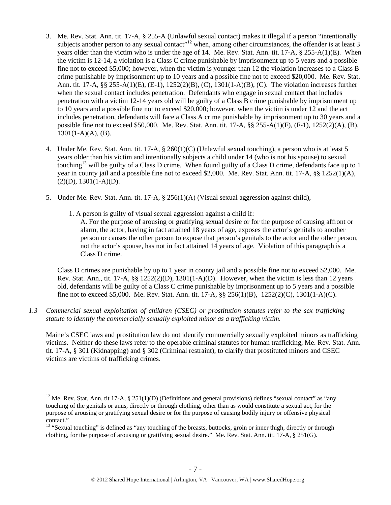- 3. Me. Rev. Stat. Ann. tit. 17-A, § 255-A (Unlawful sexual contact) makes it illegal if a person "intentionally subjects another person to any sexual contact"<sup>12</sup> when, among other circumstances, the offender is at least 3 years older than the victim who is under the age of 14. Me. Rev. Stat. Ann. tit. 17-A, § 255-A(1)(E). When the victim is 12-14, a violation is a Class C crime punishable by imprisonment up to 5 years and a possible fine not to exceed \$5,000; however, when the victim is younger than 12 the violation increases to a Class B crime punishable by imprisonment up to 10 years and a possible fine not to exceed \$20,000. Me. Rev. Stat. Ann. tit. 17-A, §§ 255-A(1)(E), (E-1), 1252(2)(B), (C), 1301(1-A)(B), (C). The violation increases further when the sexual contact includes penetration. Defendants who engage in sexual contact that includes penetration with a victim 12-14 years old will be guilty of a Class B crime punishable by imprisonment up to 10 years and a possible fine not to exceed \$20,000; however, when the victim is under 12 and the act includes penetration, defendants will face a Class A crime punishable by imprisonment up to 30 years and a possible fine not to exceed \$50,000. Me. Rev. Stat. Ann. tit. 17-A, §§ 255-A(1)(F), (F-1), 1252(2)(A), (B),  $1301(1-A)(A)$ , (B).
- 4. Under Me. Rev. Stat. Ann. tit. 17-A, § 260(1)(C) (Unlawful sexual touching), a person who is at least 5 years older than his victim and intentionally subjects a child under 14 (who is not his spouse) to sexual touching<sup>13</sup> will be guilty of a Class D crime. When found guilty of a Class D crime, defendants face up to 1 year in county jail and a possible fine not to exceed \$2,000. Me. Rev. Stat. Ann. tit. 17-A, §§ 1252(1)(A),  $(2)(D), 1301(1-A)(D).$
- 5. Under Me. Rev. Stat. Ann. tit. 17-A, § 256(1)(A) (Visual sexual aggression against child),
	- 1. A person is guilty of visual sexual aggression against a child if:

A. For the purpose of arousing or gratifying sexual desire or for the purpose of causing affront or alarm, the actor, having in fact attained 18 years of age, exposes the actor's genitals to another person or causes the other person to expose that person's genitals to the actor and the other person, not the actor's spouse, has not in fact attained 14 years of age. Violation of this paragraph is a Class D crime.

Class D crimes are punishable by up to 1 year in county jail and a possible fine not to exceed \$2,000. Me. Rev. Stat. Ann., tit. 17-A,  $\S$ § 1252(2)(D), 1301(1-A)(D). However, when the victim is less than 12 years old, defendants will be guilty of a Class C crime punishable by imprisonment up to 5 years and a possible fine not to exceed \$5,000. Me. Rev. Stat. Ann. tit. 17-A, §§ 256(1)(B), 1252(2)(C), 1301(1-A)(C).

*1.3 Commercial sexual exploitation of children (CSEC) or prostitution statutes refer to the sex trafficking statute to identify the commercially sexually exploited minor as a trafficking victim.* 

Maine's CSEC laws and prostitution law do not identify commercially sexually exploited minors as trafficking victims. Neither do these laws refer to the operable criminal statutes for human trafficking, Me. Rev. Stat. Ann. tit. 17-A, § 301 (Kidnapping) and § 302 (Criminal restraint), to clarify that prostituted minors and CSEC victims are victims of trafficking crimes.

<sup>&</sup>lt;sup>12</sup> Me. Rev. Stat. Ann. tit 17-A,  $\S 251(1)(D)$  (Definitions and general provisions) defines "sexual contact" as "any touching of the genitals or anus, directly or through clothing, other than as would constitute a sexual act, for the purpose of arousing or gratifying sexual desire or for the purpose of causing bodily injury or offensive physical contact."

<sup>&</sup>lt;sup>13</sup> "Sexual touching" is defined as "any touching of the breasts, buttocks, groin or inner thigh, directly or through clothing, for the purpose of arousing or gratifying sexual desire." Me. Rev. Stat. Ann. tit. 17-A, § 251(G).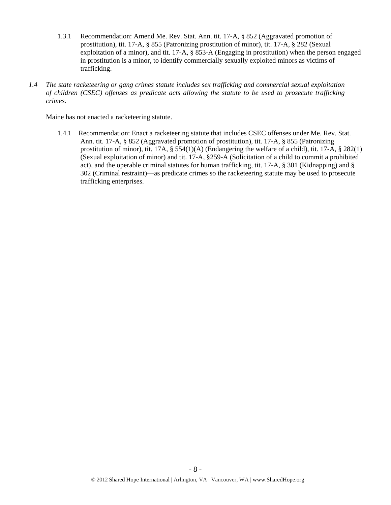- 1.3.1 Recommendation: Amend Me. Rev. Stat. Ann. tit. 17-A, § 852 (Aggravated promotion of prostitution), tit. 17-A, § 855 (Patronizing prostitution of minor), tit. 17-A, § 282 (Sexual exploitation of a minor), and tit. 17-A, § 853-A (Engaging in prostitution) when the person engaged in prostitution is a minor, to identify commercially sexually exploited minors as victims of trafficking.
- *1.4 The state racketeering or gang crimes statute includes sex trafficking and commercial sexual exploitation of children (CSEC) offenses as predicate acts allowing the statute to be used to prosecute trafficking crimes.*

Maine has not enacted a racketeering statute.

1.4.1 Recommendation: Enact a racketeering statute that includes CSEC offenses under Me. Rev. Stat. Ann. tit. 17-A, § 852 (Aggravated promotion of prostitution), tit. 17-A, § 855 (Patronizing prostitution of minor), tit. 17A,  $\S$  554(1)(A) (Endangering the welfare of a child), tit. 17-A,  $\S$  282(1) (Sexual exploitation of minor) and tit. 17-A, §259-A (Solicitation of a child to commit a prohibited act), and the operable criminal statutes for human trafficking, tit. 17-A, § 301 (Kidnapping) and § 302 (Criminal restraint)—as predicate crimes so the racketeering statute may be used to prosecute trafficking enterprises.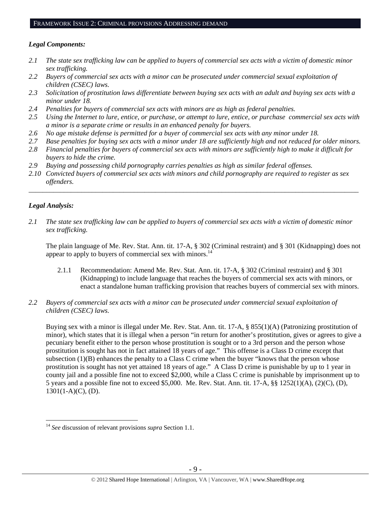#### FRAMEWORK ISSUE 2: CRIMINAL PROVISIONS ADDRESSING DEMAND

#### *Legal Components:*

- *2.1 The state sex trafficking law can be applied to buyers of commercial sex acts with a victim of domestic minor sex trafficking.*
- *2.2 Buyers of commercial sex acts with a minor can be prosecuted under commercial sexual exploitation of children (CSEC) laws.*
- *2.3 Solicitation of prostitution laws differentiate between buying sex acts with an adult and buying sex acts with a minor under 18.*
- *2.4 Penalties for buyers of commercial sex acts with minors are as high as federal penalties.*
- *2.5 Using the Internet to lure, entice, or purchase, or attempt to lure, entice, or purchase commercial sex acts with a minor is a separate crime or results in an enhanced penalty for buyers.*
- *2.6 No age mistake defense is permitted for a buyer of commercial sex acts with any minor under 18.*
- *2.7 Base penalties for buying sex acts with a minor under 18 are sufficiently high and not reduced for older minors.*
- *2.8 Financial penalties for buyers of commercial sex acts with minors are sufficiently high to make it difficult for buyers to hide the crime.*
- *2.9 Buying and possessing child pornography carries penalties as high as similar federal offenses.*
- *2.10 Convicted buyers of commercial sex acts with minors and child pornography are required to register as sex offenders.*

\_\_\_\_\_\_\_\_\_\_\_\_\_\_\_\_\_\_\_\_\_\_\_\_\_\_\_\_\_\_\_\_\_\_\_\_\_\_\_\_\_\_\_\_\_\_\_\_\_\_\_\_\_\_\_\_\_\_\_\_\_\_\_\_\_\_\_\_\_\_\_\_\_\_\_\_\_\_\_\_\_\_\_\_\_\_\_\_\_\_\_\_\_\_

## *Legal Analysis:*

 $\overline{a}$ 

*2.1 The state sex trafficking law can be applied to buyers of commercial sex acts with a victim of domestic minor sex trafficking.* 

The plain language of Me. Rev. Stat. Ann. tit. 17-A, § 302 (Criminal restraint) and § 301 (Kidnapping) does not appear to apply to buyers of commercial sex with minors. $^{14}$ 

- 2.1.1 Recommendation: Amend Me. Rev. Stat. Ann. tit. 17-A, § 302 (Criminal restraint) and § 301 (Kidnapping) to include language that reaches the buyers of commercial sex acts with minors, or enact a standalone human trafficking provision that reaches buyers of commercial sex with minors.
- *2.2 Buyers of commercial sex acts with a minor can be prosecuted under commercial sexual exploitation of children (CSEC) laws.*

Buying sex with a minor is illegal under Me. Rev. Stat. Ann. tit. 17-A, § 855(1)(A) (Patronizing prostitution of minor), which states that it is illegal when a person "in return for another's prostitution, gives or agrees to give a pecuniary benefit either to the person whose prostitution is sought or to a 3rd person and the person whose prostitution is sought has not in fact attained 18 years of age." This offense is a Class D crime except that subsection  $(1)(B)$  enhances the penalty to a Class C crime when the buyer "knows that the person whose prostitution is sought has not yet attained 18 years of age." A Class D crime is punishable by up to 1 year in county jail and a possible fine not to exceed \$2,000, while a Class C crime is punishable by imprisonment up to 5 years and a possible fine not to exceed \$5,000. Me. Rev. Stat. Ann. tit. 17-A, §§ 1252(1)(A), (2)(C), (D),  $1301(1-A)(C)$ , (D).

<sup>14</sup> *See* discussion of relevant provisions *supra* Section 1.1.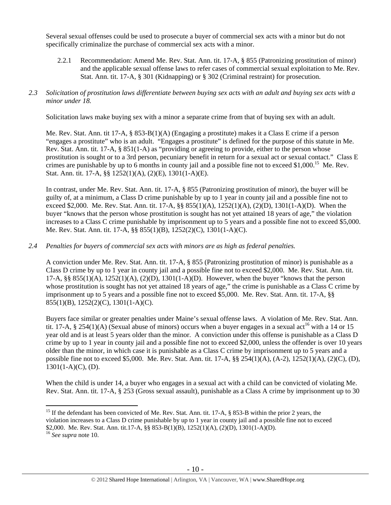Several sexual offenses could be used to prosecute a buyer of commercial sex acts with a minor but do not specifically criminalize the purchase of commercial sex acts with a minor.

2.2.1 Recommendation: Amend Me. Rev. Stat. Ann. tit. 17-A, § 855 (Patronizing prostitution of minor) and the applicable sexual offense laws to refer cases of commercial sexual exploitation to Me. Rev. Stat. Ann. tit. 17-A, § 301 (Kidnapping) or § 302 (Criminal restraint) for prosecution.

## *2.3 Solicitation of prostitution laws differentiate between buying sex acts with an adult and buying sex acts with a minor under 18.*

Solicitation laws make buying sex with a minor a separate crime from that of buying sex with an adult.

Me. Rev. Stat. Ann. tit 17-A, § 853-B(1)(A) (Engaging a prostitute) makes it a Class E crime if a person "engages a prostitute" who is an adult. "Engages a prostitute" is defined for the purpose of this statute in Me. Rev. Stat. Ann. tit. 17-A, § 851(1-A) as "providing or agreeing to provide, either to the person whose prostitution is sought or to a 3rd person, pecuniary benefit in return for a sexual act or sexual contact." Class E crimes are punishable by up to 6 months in county jail and a possible fine not to exceed \$1,000.<sup>15</sup> Me. Rev. Stat. Ann. tit. 17-A, §§ 1252(1)(A), (2)(E), 1301(1-A)(E).

In contrast, under Me. Rev. Stat. Ann. tit. 17-A, § 855 (Patronizing prostitution of minor), the buyer will be guilty of, at a minimum, a Class D crime punishable by up to 1 year in county jail and a possible fine not to exceed \$2,000. Me. Rev. Stat. Ann. tit. 17-A, §§ 855(1)(A), 1252(1)(A), (2)(D), 1301(1-A)(D). When the buyer "knows that the person whose prostitution is sought has not yet attained 18 years of age," the violation increases to a Class C crime punishable by imprisonment up to 5 years and a possible fine not to exceed \$5,000. Me. Rev. Stat. Ann. tit. 17-A, §§ 855(1)(B), 1252(2)(C), 1301(1-A)(C).

## *2.4 Penalties for buyers of commercial sex acts with minors are as high as federal penalties.*

A conviction under Me. Rev. Stat. Ann. tit. 17-A, § 855 (Patronizing prostitution of minor) is punishable as a Class D crime by up to 1 year in county jail and a possible fine not to exceed \$2,000. Me. Rev. Stat. Ann. tit. 17-A,  $\S$ § 855(1)(A), 1252(1)(A), (2)(D), 1301(1-A)(D). However, when the buyer "knows that the person whose prostitution is sought has not yet attained 18 years of age," the crime is punishable as a Class C crime by imprisonment up to 5 years and a possible fine not to exceed \$5,000. Me. Rev. Stat. Ann. tit. 17-A, §§ 855(1)(B), 1252(2)(C), 1301(1-A)(C).

Buyers face similar or greater penalties under Maine's sexual offense laws. A violation of Me. Rev. Stat. Ann. tit. 17-A, § 254(1)(A) (Sexual abuse of minors) occurs when a buyer engages in a sexual act<sup>16</sup> with a 14 or 15 year old and is at least 5 years older than the minor. A conviction under this offense is punishable as a Class D crime by up to 1 year in county jail and a possible fine not to exceed \$2,000, unless the offender is over 10 years older than the minor, in which case it is punishable as a Class C crime by imprisonment up to 5 years and a possible fine not to exceed \$5,000. Me. Rev. Stat. Ann. tit. 17-A, §§ 254(1)(A), (A-2), 1252(1)(A), (2)(C), (D),  $1301(1-A)(C)$ , (D).

When the child is under 14, a buyer who engages in a sexual act with a child can be convicted of violating Me. Rev. Stat. Ann. tit. 17-A, § 253 (Gross sexual assault), punishable as a Class A crime by imprisonment up to 30

 $\overline{a}$ <sup>15</sup> If the defendant has been convicted of Me. Rev. Stat. Ann. tit. 17-A, § 853-B within the prior 2 years, the violation increases to a Class D crime punishable by up to 1 year in county jail and a possible fine not to exceed \$2,000. Me. Rev. Stat. Ann. tit.17-A, §§ 853-B(1)(B), 1252(1)(A), (2)(D), 1301(1-A)(D).

<sup>16</sup> *See supra* note 10.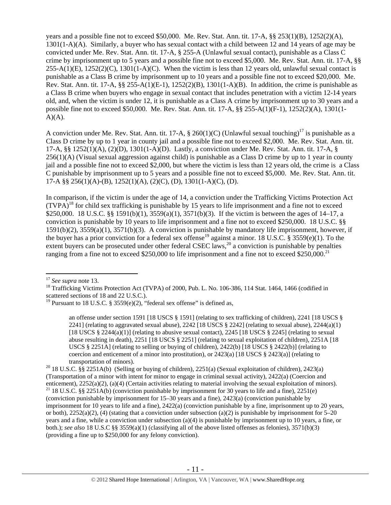years and a possible fine not to exceed \$50,000. Me. Rev. Stat. Ann. tit. 17-A, §§ 253(1)(B), 1252(2)(A), 1301(1-A)(A). Similarly, a buyer who has sexual contact with a child between 12 and 14 years of age may be convicted under Me. Rev. Stat. Ann. tit. 17-A, § 255-A (Unlawful sexual contact), punishable as a Class C crime by imprisonment up to 5 years and a possible fine not to exceed \$5,000. Me. Rev. Stat. Ann. tit. 17-A, §§  $255-A(1)(E)$ ,  $1252(2)(C)$ ,  $1301(1-A)(C)$ . When the victim is less than 12 years old, unlawful sexual contact is punishable as a Class B crime by imprisonment up to 10 years and a possible fine not to exceed \$20,000. Me. Rev. Stat. Ann. tit. 17-A, §§ 255-A(1)(E-1), 1252(2)(B), 1301(1-A)(B). In addition, the crime is punishable as a Class B crime when buyers who engage in sexual contact that includes penetration with a victim 12-14 years old, and, when the victim is under 12, it is punishable as a Class A crime by imprisonment up to 30 years and a possible fine not to exceed \$50,000. Me. Rev. Stat. Ann. tit. 17-A, §§ 255-A(1)(F-1), 1252(2)(A), 1301(1-  $A)(A)$ .

A conviction under Me. Rev. Stat. Ann. tit. 17-A,  $\S$  260(1)(C) (Unlawful sexual touching)<sup>17</sup> is punishable as a Class D crime by up to 1 year in county jail and a possible fine not to exceed \$2,000. Me. Rev. Stat. Ann. tit. 17-A, §§ 1252(1)(A), (2)(D), 1301(1-A)(D). Lastly, a conviction under Me. Rev. Stat. Ann. tit. 17-A, § 256(1)(A) (Visual sexual aggression against child) is punishable as a Class D crime by up to 1 year in county jail and a possible fine not to exceed \$2,000, but where the victim is less than 12 years old, the crime is a Class C punishable by imprisonment up to 5 years and a possible fine not to exceed \$5,000. Me. Rev. Stat. Ann. tit. 17-A §§ 256(1)(A)-(B), 1252(1)(A), (2)(C), (D), 1301(1-A)(C), (D).

In comparison, if the victim is under the age of 14, a conviction under the Trafficking Victims Protection Act  $(TVPA)<sup>18</sup>$  for child sex trafficking is punishable by 15 years to life imprisonment and a fine not to exceed \$250,000. 18 U.S.C. §§ 1591(b)(1), 3559(a)(1), 3571(b)(3). If the victim is between the ages of 14–17, a conviction is punishable by 10 years to life imprisonment and a fine not to exceed \$250,000. 18 U.S.C. §§ 1591(b)(2), 3559(a)(1), 3571(b)(3). A conviction is punishable by mandatory life imprisonment, however, if the buyer has a prior conviction for a federal sex offense<sup>19</sup> against a minor. 18 U.S.C. § 3559(e)(1). To the extent buyers can be prosecuted under other federal CSEC laws,<sup>20</sup> a conviction is punishable by penalties ranging from a fine not to exceed \$250,000 to life imprisonment and a fine not to exceed \$250,000.<sup>21</sup>

an offense under section 1591 [18 USCS § 1591] (relating to sex trafficking of children), 2241 [18 USCS § 2241] (relating to aggravated sexual abuse), 2242 [18 USCS  $\S$  2242] (relating to sexual abuse), 2244(a)(1) [18 USCS § 2244(a)(1)] (relating to abusive sexual contact), 2245 [18 USCS § 2245] (relating to sexual abuse resulting in death), 2251 [18 USCS § 2251] (relating to sexual exploitation of children), 2251A [18 USCS § 2251A] (relating to selling or buying of children),  $2422(b)$  [18 USCS § 2422(b)] (relating to coercion and enticement of a minor into prostitution), or  $2423(a)$  [18 USCS §  $2423(a)$ ] (relating to

transportation of minors).<br><sup>20</sup> 18 U.S.C. §§ 2251A(b) (Selling or buying of children), 2251(a) (Sexual exploitation of children), 2423(a) (Transportation of a minor with intent for minor to engage in criminal sexual activity), 2422(a) (Coercion and enticement), 2252(a)(2), (a)(4) (Certain activities relating to material involving the sexual exploitation of minors). <sup>21</sup> 18 U.S.C. §§ 2251A(b) (conviction punishable by imprisonment for 30 years to life and a fine), 22 (conviction punishable by imprisonment for 15–30 years and a fine), 2423(a) (conviction punishable by imprisonment for 10 years to life and a fine), 2422(a) (conviction punishable by a fine, imprisonment up to 20 years, or both),  $2252(a)(2)$ , (4) (stating that a conviction under subsection (a)(2) is punishable by imprisonment for 5–20 years and a fine, while a conviction under subsection (a)(4) is punishable by imprisonment up to 10 years, a fine, or both.); *see also* 18 U.S.C §§ 3559(a)(1) (classifying all of the above listed offenses as felonies), 3571(b)(3) (providing a fine up to \$250,000 for any felony conviction).

 $17$  See supra note 13.

<sup>&</sup>lt;sup>18</sup> Trafficking Victims Protection Act (TVPA) of 2000, Pub. L. No. 106-386, 114 Stat. 1464, 1466 (codified in scattered sections of 18 and 22 U.S.C.).

<sup>&</sup>lt;sup>19</sup> Pursuant to 18 U.S.C. § 3559(e)(2), "federal sex offense" is defined as,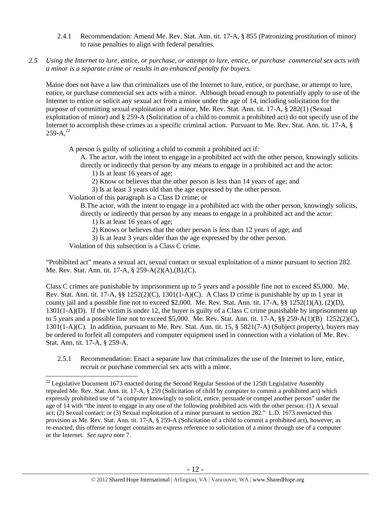- 2.4.1 Recommendation: Amend Me. Rev. Stat. Ann. tit. 17-A, § 855 (Patronizing prostitution of minor) to raise penalties to align with federal penalties.
- *2.5 Using the Internet to lure, entice, or purchase, or attempt to lure, entice, or purchase commercial sex acts with a minor is a separate crime or results in an enhanced penalty for buyers.*

Maine does not have a law that criminalizes use of the Internet to lure, entice, or purchase, or attempt to lure, entice, or purchase commercial sex acts with a minor. Although broad enough to potentially apply to use of the Internet to entice or solicit any sexual act from a minor under the age of 14, including solicitation for the purpose of committing sexual exploitation of a minor, Me. Rev. Stat. Ann. tit. 17-A, § 282(1) (Sexual exploitation of minor) and § 259-A (Solicitation of a child to commit a prohibited act) do not specify use of the Internet to accomplish these crimes as a specific criminal action. Pursuant to Me. Rev. Stat. Ann. tit. 17-A, §  $259-A.<sup>22</sup>$ 

A person is guilty of soliciting a child to commit a prohibited act if:

A. The actor, with the intent to engage in a prohibited act with the other person, knowingly solicits directly or indirectly that person by any means to engage in a prohibited act and the actor:

- 1) Is at least 16 years of age;
- 2) Know or believes that the other person is less than 14 years of age; and

3) Is at least 3 years old than the age expressed by the other person.

Violation of this paragraph is a Class D crime; or

- B.The actor, with the intent to engage in a prohibited act with the other person, knowingly solicits, directly or indirectly that person by any means to engage in a prohibited act and the actor:
	- 1) Is at least 16 years of age;
	- 2) Knows or believes that the other person is less than 12 years of age; and

3) Is at least 3 years older than the age expressed by the other person.

Violation of this subsection is a Class C crime.

 $\overline{a}$ 

"Prohibited act" means a sexual act, sexual contact or sexual exploitation of a minor pursuant to section 282. Me. Rev. Stat. Ann. tit. 17-A, § 259-A(2)(A),(B),(C).

Class C crimes are punishable by imprisonment up to 5 years and a possible fine not to exceed \$5,000. Me. Rev. Stat. Ann. tit. 17-A, §§ 1252(2)(C), 1301(1-A)(C). A Class D crime is punishable by up to 1 year in county jail and a possible fine not to exceed \$2,000. Me. Rev. Stat. Ann. tit. 17-A, §§ 1252(1)(A), (2)(D), 1301(1-A)(D). If the victim is under 12, the buyer is guilty of a Class C crime punishable by imprisonment up to 5 years and a possible fine not to exceed \$5,000. Me. Rev. Stat. Ann. tit. 17-A, §§ 259-A(1)(B) 1252(2)(C), 1301(1-A)(C). In addition, pursuant to Me. Rev. Stat. Ann. tit. 15, § 5821(7-A) (Subject property), buyers may be ordered to forfeit all computers and computer equipment used in connection with a violation of Me. Rev. Stat. Ann. tit. 17-A, § 259-A.

2.5.1 Recommendation: Enact a separate law that criminalizes the use of the Internet to lure, entice, recruit or purchase commercial sex acts with a minor.

 $22$  Legislative Document 1673 enacted during the Second Regular Session of the 125th Legislative Assembly repealed Me. Rev. Stat. Ann. tit. 17-A, § 259 (Solicitation of child by computer to commit a prohibited act) which expressly prohibited use of "a computer knowingly to solicit, entice, persuade or compel another person" under the age of 14 with "the intent to engage in any one of the following prohibited acts with the other person: (1) A sexual act; (2) Sexual contact; or (3) Sexual exploitation of a minor pursuant to section 282." L.D. 1673 reenacted this provision as Me. Rev. Stat. Ann. tit. 17-A, § 259-A (Solicitation of a child to commit a prohibited act), however, as re-enacted, this offense no longer contains an express reference to solicitation of a minor through use of a computer or the Internet. *See supra* note 7.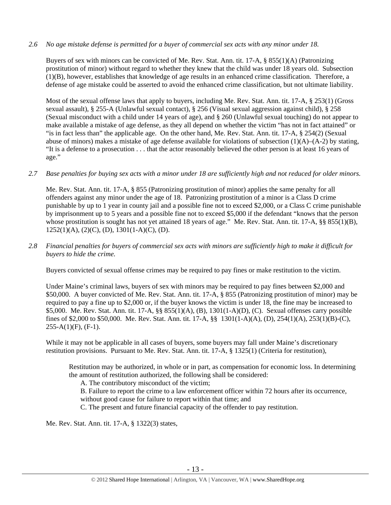## *2.6 No age mistake defense is permitted for a buyer of commercial sex acts with any minor under 18.*

Buyers of sex with minors can be convicted of Me. Rev. Stat. Ann. tit. 17-A, § 855(1)(A) (Patronizing prostitution of minor) without regard to whether they knew that the child was under 18 years old. Subsection (1)(B), however, establishes that knowledge of age results in an enhanced crime classification. Therefore, a defense of age mistake could be asserted to avoid the enhanced crime classification, but not ultimate liability.

Most of the sexual offense laws that apply to buyers, including Me. Rev. Stat. Ann. tit. 17-A, § 253(1) (Gross sexual assault), § 255-A (Unlawful sexual contact), § 256 (Visual sexual aggression against child), § 258 (Sexual misconduct with a child under 14 years of age), and § 260 (Unlawful sexual touching) do not appear to make available a mistake of age defense, as they all depend on whether the victim "has not in fact attained" or "is in fact less than" the applicable age. On the other hand, Me. Rev. Stat. Ann. tit. 17-A, § 254(2) (Sexual abuse of minors) makes a mistake of age defense available for violations of subsection  $(1)(A)$ – $(A-2)$  by stating, "It is a defense to a prosecution . . . that the actor reasonably believed the other person is at least 16 years of age."

## *2.7 Base penalties for buying sex acts with a minor under 18 are sufficiently high and not reduced for older minors.*

Me. Rev. Stat. Ann. tit. 17-A, § 855 (Patronizing prostitution of minor) applies the same penalty for all offenders against any minor under the age of 18. Patronizing prostitution of a minor is a Class D crime punishable by up to 1 year in county jail and a possible fine not to exceed \$2,000, or a Class C crime punishable by imprisonment up to 5 years and a possible fine not to exceed \$5,000 if the defendant "knows that the person whose prostitution is sought has not yet attained 18 years of age." Me. Rev. Stat. Ann. tit. 17-A, §§ 855(1)(B),  $1252(1)(A), (2)(C), (D), 1301(1-A)(C), (D).$ 

*2.8 Financial penalties for buyers of commercial sex acts with minors are sufficiently high to make it difficult for buyers to hide the crime.* 

Buyers convicted of sexual offense crimes may be required to pay fines or make restitution to the victim.

Under Maine's criminal laws, buyers of sex with minors may be required to pay fines between \$2,000 and \$50,000. A buyer convicted of Me. Rev. Stat. Ann. tit. 17-A, § 855 (Patronizing prostitution of minor) may be required to pay a fine up to \$2,000 or, if the buyer knows the victim is under 18, the fine may be increased to \$5,000. Me. Rev. Stat. Ann. tit. 17-A, §§ 855(1)(A), (B), 1301(1-A)(D), (C). Sexual offenses carry possible fines of \$2,000 to \$50,000. Me. Rev. Stat. Ann. tit. 17-A, §§ 1301(1-A)(A), (D), 254(1)(A), 253(1)(B)-(C),  $255-A(1)(F)$ ,  $(F-1)$ .

While it may not be applicable in all cases of buyers, some buyers may fall under Maine's discretionary restitution provisions. Pursuant to Me. Rev. Stat. Ann. tit. 17-A, § 1325(1) (Criteria for restitution),

Restitution may be authorized, in whole or in part, as compensation for economic loss. In determining the amount of restitution authorized, the following shall be considered:

A. The contributory misconduct of the victim;

B. Failure to report the crime to a law enforcement officer within 72 hours after its occurrence,

without good cause for failure to report within that time; and

C. The present and future financial capacity of the offender to pay restitution.

Me. Rev. Stat. Ann. tit. 17-A, § 1322(3) states,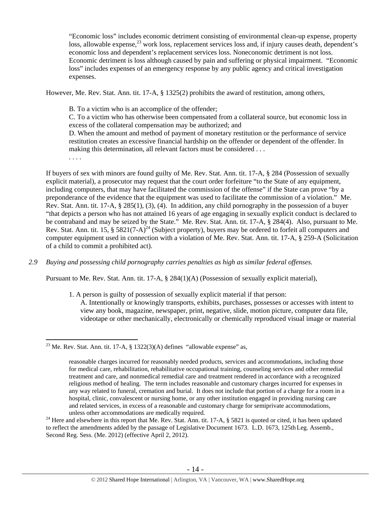"Economic loss" includes economic detriment consisting of environmental clean-up expense, property loss, allowable expense,<sup>23</sup> work loss, replacement services loss and, if injury causes death, dependent's economic loss and dependent's replacement services loss. Noneconomic detriment is not loss. Economic detriment is loss although caused by pain and suffering or physical impairment. "Economic loss" includes expenses of an emergency response by any public agency and critical investigation expenses.

However, Me. Rev. Stat. Ann. tit. 17-A, § 1325(2) prohibits the award of restitution, among others,

B. To a victim who is an accomplice of the offender;

C. To a victim who has otherwise been compensated from a collateral source, but economic loss in excess of the collateral compensation may be authorized; and

D. When the amount and method of payment of monetary restitution or the performance of service restitution creates an excessive financial hardship on the offender or dependent of the offender. In making this determination, all relevant factors must be considered . . .

. . . .

 $\overline{a}$ 

If buyers of sex with minors are found guilty of Me. Rev. Stat. Ann. tit. 17-A, § 284 (Possession of sexually explicit material), a prosecutor may request that the court order forfeiture "to the State of any equipment, including computers, that may have facilitated the commission of the offense" if the State can prove "by a preponderance of the evidence that the equipment was used to facilitate the commission of a violation." Me. Rev. Stat. Ann. tit. 17-A, § 285(1), (3), (4). In addition, any child pornography in the possession of a buyer "that depicts a person who has not attained 16 years of age engaging in sexually explicit conduct is declared to be contraband and may be seized by the State." Me. Rev. Stat. Ann. tit. 17-A, § 284(4). Also, pursuant to Me. Rev. Stat. Ann. tit. 15, § 5821(7-A)<sup>24</sup> (Subject property), buyers may be ordered to forfeit all computers and computer equipment used in connection with a violation of Me. Rev. Stat. Ann. tit. 17-A, § 259-A (Solicitation of a child to commit a prohibited act).

*2.9 Buying and possessing child pornography carries penalties as high as similar federal offenses.* 

Pursuant to Me. Rev. Stat. Ann. tit. 17-A, § 284(1)(A) (Possession of sexually explicit material),

1. A person is guilty of possession of sexually explicit material if that person:

A. Intentionally or knowingly transports, exhibits, purchases, possesses or accesses with intent to view any book, magazine, newspaper, print, negative, slide, motion picture, computer data file, videotape or other mechanically, electronically or chemically reproduced visual image or material

unless other accommodations are medically required.<br><sup>24</sup> Here and elsewhere in this report that Me. Rev. Stat. Ann. tit. 17-A, § 5821 is quoted or cited, it has been updated to reflect the amendments added by the passage of Legislative Document 1673. L.D. 1673, 125th Leg. Assemb., Second Reg. Sess. (Me. 2012) (effective April 2, 2012).

<sup>&</sup>lt;sup>23</sup> Me. Rev. Stat. Ann. tit. 17-A, § 1322(3)(A) defines "allowable expense" as,

reasonable charges incurred for reasonably needed products, services and accommodations, including those for medical care, rehabilitation, rehabilitative occupational training, counseling services and other remedial treatment and care, and nonmedical remedial care and treatment rendered in accordance with a recognized religious method of healing. The term includes reasonable and customary charges incurred for expenses in any way related to funeral, cremation and burial. It does not include that portion of a charge for a room in a hospital, clinic, convalescent or nursing home, or any other institution engaged in providing nursing care and related services, in excess of a reasonable and customary charge for semiprivate accommodations,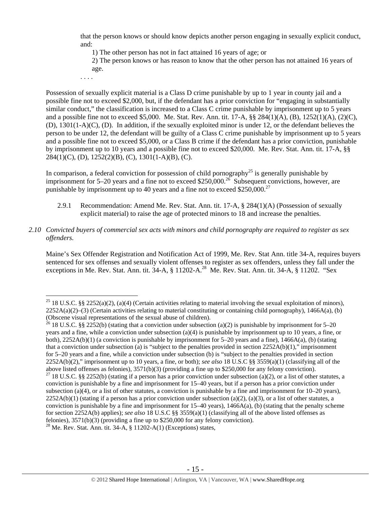that the person knows or should know depicts another person engaging in sexually explicit conduct, and:

1) The other person has not in fact attained 16 years of age; or

2) The person knows or has reason to know that the other person has not attained 16 years of age.

. . . .

Possession of sexually explicit material is a Class D crime punishable by up to 1 year in county jail and a possible fine not to exceed \$2,000, but, if the defendant has a prior conviction for "engaging in substantially similar conduct," the classification is increased to a Class C crime punishable by imprisonment up to 5 years and a possible fine not to exceed \$5,000. Me. Stat. Rev. Ann. tit. 17-A, §§ 284(1)(A), (B), 1252(1)(A), (2)(C), (D), 1301(1-A)(C), (D). In addition, if the sexually exploited minor is under 12, or the defendant believes the person to be under 12, the defendant will be guilty of a Class C crime punishable by imprisonment up to 5 years and a possible fine not to exceed \$5,000, or a Class B crime if the defendant has a prior conviction, punishable by imprisonment up to 10 years and a possible fine not to exceed \$20,000. Me. Rev. Stat. Ann. tit. 17-A, §§  $284(1)(C)$ , (D),  $1252(2)(B)$ , (C),  $1301(1-A)(B)$ , (C).

In comparison, a federal conviction for possession of child pornography<sup>25</sup> is generally punishable by imprisonment for 5–20 years and a fine not to exceed \$250,000.<sup>26</sup> Subsequent convictions, however, are punishable by imprisonment up to 40 years and a fine not to exceed \$250,000.<sup>27</sup>

- 2.9.1 Recommendation: Amend Me. Rev. Stat. Ann. tit. 17-A, § 284(1)(A) (Possession of sexually explicit material) to raise the age of protected minors to 18 and increase the penalties.
- *2.10 Convicted buyers of commercial sex acts with minors and child pornography are required to register as sex offenders.*

Maine's Sex Offender Registration and Notification Act of 1999, Me. Rev. Stat Ann. title 34-A, requires buyers sentenced for sex offenses and sexually violent offenses to register as sex offenders, unless they fall under the exceptions in Me. Rev. Stat. Ann. tit. 34-A, § 11202-A.<sup>28</sup> Me. Rev. Stat. Ann. tit. 34-A, § 11202. "Sex

<sup>26</sup> 18 U.S.C. §§ 2252(b) (stating that a conviction under subsection (a)(2) is punishable by imprisonment for 5–20 years and a fine, while a conviction under subsection (a)(4) is punishable by imprisonment up to 10 years, a fine, or both), 2252A(b)(1) (a conviction is punishable by imprisonment for 5–20 years and a fine), 1466A(a), (b) (stating that a conviction under subsection (a) is "subject to the penalties provided in section 2252A(b)(1)," imprisonment for 5–20 years and a fine, while a conviction under subsection (b) is "subject to the penalties provided in section 2252A(b)(2)," imprisonment up to 10 years, a fine, or both); *see also* 18 U.S.C §§ 3559(a)(1) (classifying all of the above listed offenses as felonies), 3571(b)(3) (providing a fine up to \$250,000 for any felony conviction). <sup>27</sup> 18 U.S.C. §§ 2252(b) (stating if a person has a prior conviction under subsection (a)(2), or a list of other statutes, a conviction is punishable by a fine and imprisonment for 15–40 years, but if a person has a prior conviction under subsection (a)(4), or a list of other statutes, a conviction is punishable by a fine and imprisonment for  $10-20$  years),  $2252A(b)(1)$  (stating if a person has a prior conviction under subsection (a)(2), (a)(3), or a list of other statutes, a

 $\overline{a}$ <sup>25</sup> 18 U.S.C. §§ 2252(a)(2), (a)(4) (Certain activities relating to material involving the sexual exploitation of minors),  $2252A(a)(2)$ –(3) (Certain activities relating to material constituting or containing child pornography), 1466A(a), (b) (Obscene visual representations of the sexual abuse of children).

conviction is punishable by a fine and imprisonment for  $15-40$  years),  $1466A(a)$ , (b) (stating that the penalty scheme for section 2252A(b) applies); *see also* 18 U.S.C §§ 3559(a)(1) (classifying all of the above listed offenses as felonies), 3571(b)(3) (providing a fine up to \$250,000 for any felony conviction).

<sup>&</sup>lt;sup>28</sup> Me. Rev. Stat. Ann. tit. 34-A,  $\S$  11202-A(1) (Exceptions) states,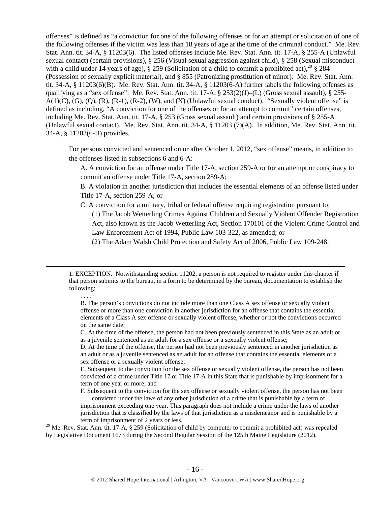offenses" is defined as "a conviction for one of the following offenses or for an attempt or solicitation of one of the following offenses if the victim was less than 18 years of age at the time of the criminal conduct." Me. Rev. Stat. Ann. tit. 34-A, § 11203(6). The listed offenses include Me. Rev. Stat. Ann. tit. 17-A, § 255-A (Unlawful sexual contact) (certain provisions), § 256 (Visual sexual aggression against child), § 258 (Sexual misconduct with a child under 14 years of age), § 259 (Solicitation of a child to commit a prohibited act),<sup>29</sup> § 284 (Possession of sexually explicit material), and § 855 (Patronizing prostitution of minor). Me. Rev. Stat. Ann. tit. 34-A, § 11203(6)(B). Me. Rev. Stat. Ann. tit. 34-A, § 11203(6-A) further labels the following offenses as qualifying as a "sex offense": Me. Rev. Stat. Ann. tit. 17-A,  $\S 253(2)(J)$ –(L) (Gross sexual assault),  $\S 255 A(1)(C)$ ,  $(G)$ ,  $(Q)$ ,  $(R)$ ,  $(R-1)$ ,  $(R-2)$ ,  $(W)$ , and  $(X)$  (Unlawful sexual conduct). "Sexually violent offense" is defined as including, "A conviction for one of the offenses or for an attempt to commit" certain offenses, including Me. Rev. Stat. Ann. tit. 17-A, § 253 (Gross sexual assault) and certain provisions of § 255-A (Unlawful sexual contact). Me. Rev. Stat. Ann. tit. 34-A, § 11203 (7)(A). In addition, Me. Rev. Stat. Ann. tit. 34-A, § 11203(6-B) provides,

For persons convicted and sentenced on or after October 1, 2012, "sex offense" means, in addition to the offenses listed in subsections 6 and 6-A:

A. A conviction for an offense under Title 17-A, section 259-A or for an attempt or conspiracy to commit an offense under Title 17-A, section 259-A;

B. A violation in another jurisdiction that includes the essential elements of an offense listed under Title 17-A, section 259-A; or

C. A conviction for a military, tribal or federal offense requiring registration pursuant to:

(1) The Jacob Wetterling Crimes Against Children and Sexually Violent Offender Registration Act, also known as the Jacob Wetterling Act, Section 170101 of the Violent Crime Control and Law Enforcement Act of 1994, Public Law 103-322, as amended; or

(2) The Adam Walsh Child Protection and Safety Act of 2006, Public Law 109-248.

. . . .

B. The person's convictions do not include more than one Class A sex offense or sexually violent offense or more than one conviction in another jurisdiction for an offense that contains the essential elements of a Class A sex offense or sexually violent offense, whether or not the convictions occurred on the same date;

C. At the time of the offense, the person had not been previously sentenced in this State as an adult or as a juvenile sentenced as an adult for a sex offense or a sexually violent offense;

D. At the time of the offense, the person had not been previously sentenced in another jurisdiction as an adult or as a juvenile sentenced as an adult for an offense that contains the essential elements of a sex offense or a sexually violent offense;

E. Subsequent to the conviction for the sex offense or sexually violent offense, the person has not been convicted of a crime under Title 17 or Title 17-A in this State that is punishable by imprisonment for a term of one year or more; and

F. Subsequent to the conviction for the sex offense or sexually violent offense, the person has not been convicted under the laws of any other jurisdiction of a crime that is punishable by a term of

imprisonment exceeding one year. This paragraph does not include a crime under the laws of another jurisdiction that is classified by the laws of that jurisdiction as a misdemeanor and is punishable by a term of imprisonment of 2 years or less.

<sup>29</sup> Me. Rev. Stat. Ann. tit. 17-A, § 259 (Solicitation of child by computer to commit a prohibited act) was repealed by Legislative Document 1673 during the Second Regular Session of the 125th Maine Legislature (2012).

 <sup>1.</sup> EXCEPTION. Notwithstanding section 11202, a person is not required to register under this chapter if that person submits to the bureau, in a form to be determined by the bureau, documentation to establish the following: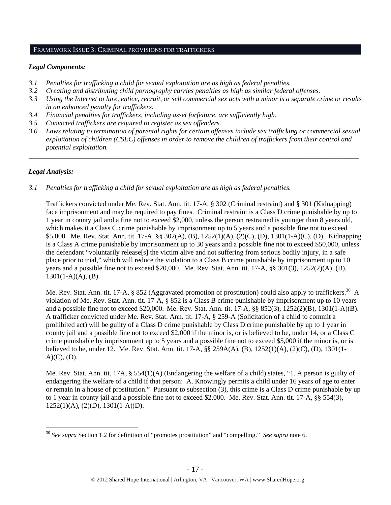#### FRAMEWORK ISSUE 3: CRIMINAL PROVISIONS FOR TRAFFICKERS

## *Legal Components:*

- *3.1 Penalties for trafficking a child for sexual exploitation are as high as federal penalties.*
- *3.2 Creating and distributing child pornography carries penalties as high as similar federal offenses.*
- *3.3 Using the Internet to lure, entice, recruit, or sell commercial sex acts with a minor is a separate crime or results in an enhanced penalty for traffickers.*
- *3.4 Financial penalties for traffickers, including asset forfeiture, are sufficiently high*.
- *3.5 Convicted traffickers are required to register as sex offenders.*
- *3.6 Laws relating to termination of parental rights for certain offenses include sex trafficking or commercial sexual exploitation of children (CSEC) offenses in order to remove the children of traffickers from their control and potential exploitation.*

*\_\_\_\_\_\_\_\_\_\_\_\_\_\_\_\_\_\_\_\_\_\_\_\_\_\_\_\_\_\_\_\_\_\_\_\_\_\_\_\_\_\_\_\_\_\_\_\_\_\_\_\_\_\_\_\_\_\_\_\_\_\_\_\_\_\_\_\_\_\_\_\_\_\_\_\_\_\_\_\_\_\_\_\_\_\_\_\_\_\_\_\_\_\_* 

# *Legal Analysis:*

 $\overline{a}$ 

*3.1 Penalties for trafficking a child for sexual exploitation are as high as federal penalties.* 

Traffickers convicted under Me. Rev. Stat. Ann. tit. 17-A, § 302 (Criminal restraint) and § 301 (Kidnapping) face imprisonment and may be required to pay fines. Criminal restraint is a Class D crime punishable by up to 1 year in county jail and a fine not to exceed \$2,000, unless the person restrained is younger than 8 years old, which makes it a Class C crime punishable by imprisonment up to 5 years and a possible fine not to exceed \$5,000. Me. Rev. Stat. Ann. tit. 17-A, §§ 302(A), (B), 1252(1)(A), (2)(C), (D), 1301(1-A)(C), (D). Kidnapping is a Class A crime punishable by imprisonment up to 30 years and a possible fine not to exceed \$50,000, unless the defendant "voluntarily release[s] the victim alive and not suffering from serious bodily injury, in a safe place prior to trial," which will reduce the violation to a Class B crime punishable by imprisonment up to 10 years and a possible fine not to exceed \$20,000. Me. Rev. Stat. Ann. tit. 17-A, §§ 301(3), 1252(2)(A), (B),  $1301(1-A)(A)$ , (B).

Me. Rev. Stat. Ann. tit. 17-A, § 852 (Aggravated promotion of prostitution) could also apply to traffickers.<sup>30</sup> A violation of Me. Rev. Stat. Ann. tit. 17-A, § 852 is a Class B crime punishable by imprisonment up to 10 years and a possible fine not to exceed \$20,000. Me. Rev. Stat. Ann. tit. 17-A, §§ 852(3), 1252(2)(B), 1301(1-A)(B). A trafficker convicted under Me. Rev. Stat. Ann. tit. 17-A, § 259-A (Solicitation of a child to commit a prohibited act) will be guilty of a Class D crime punishable by Class D crime punishable by up to 1 year in county jail and a possible fine not to exceed \$2,000 if the minor is, or is believed to be, under 14, or a Class C crime punishable by imprisonment up to 5 years and a possible fine not to exceed \$5,000 if the minor is, or is believed to be, under 12. Me. Rev. Stat. Ann. tit. 17-A, §§ 259A(A), (B), 1252(1)(A), (2)(C), (D), 1301(1-  $A)(C)$ ,  $(D)$ .

Me. Rev. Stat. Ann. tit. 17A, § 554(1)(A) (Endangering the welfare of a child) states, "1. A person is guilty of endangering the welfare of a child if that person: A. Knowingly permits a child under 16 years of age to enter or remain in a house of prostitution." Pursuant to subsection (3), this crime is a Class D crime punishable by up to 1 year in county jail and a possible fine not to exceed \$2,000. Me. Rev. Stat. Ann. tit. 17-A, §§ 554(3), 1252(1)(A), (2)(D), 1301(1-A)(D).

<sup>30</sup> *See supra* Section 1.2 for definition of "promotes prostitution" and "compelling." *See supra* note 6.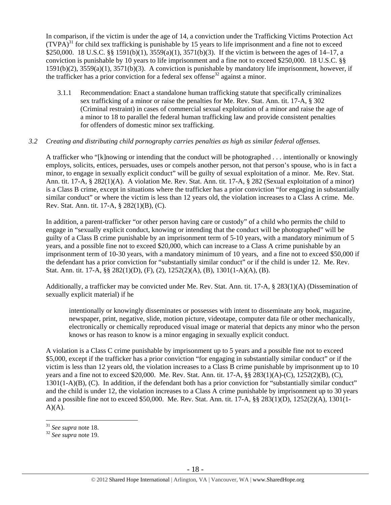In comparison, if the victim is under the age of 14, a conviction under the Trafficking Victims Protection Act  $(TVPA)<sup>31</sup>$  for child sex trafficking is punishable by 15 years to life imprisonment and a fine not to exceed \$250,000. 18 U.S.C. §§ 1591(b)(1), 3559(a)(1), 3571(b)(3). If the victim is between the ages of 14–17, a conviction is punishable by 10 years to life imprisonment and a fine not to exceed \$250,000. 18 U.S.C. §§ 1591(b)(2), 3559(a)(1), 3571(b)(3). A conviction is punishable by mandatory life imprisonment, however, if the trafficker has a prior conviction for a federal sex offense<sup>32</sup> against a minor.

3.1.1 Recommendation: Enact a standalone human trafficking statute that specifically criminalizes sex trafficking of a minor or raise the penalties for Me. Rev. Stat. Ann. tit. 17-A, § 302 (Criminal restraint) in cases of commercial sexual exploitation of a minor and raise the age of a minor to 18 to parallel the federal human trafficking law and provide consistent penalties for offenders of domestic minor sex trafficking.

## *3.2 Creating and distributing child pornography carries penalties as high as similar federal offenses.*

A trafficker who "[k]nowing or intending that the conduct will be photographed . . . intentionally or knowingly employs, solicits, entices, persuades, uses or compels another person, not that person's spouse, who is in fact a minor, to engage in sexually explicit conduct" will be guilty of sexual exploitation of a minor. Me. Rev. Stat. Ann. tit. 17-A, § 282(1)(A). A violation Me. Rev. Stat. Ann. tit. 17-A, § 282 (Sexual exploitation of a minor) is a Class B crime, except in situations where the trafficker has a prior conviction "for engaging in substantially similar conduct" or where the victim is less than 12 years old, the violation increases to a Class A crime. Me. Rev. Stat. Ann. tit. 17-A, § 282(1)(B), (C).

In addition, a parent-trafficker "or other person having care or custody" of a child who permits the child to engage in "sexually explicit conduct, knowing or intending that the conduct will be photographed" will be guilty of a Class B crime punishable by an imprisonment term of 5-10 years, with a mandatory minimum of 5 years, and a possible fine not to exceed \$20,000, which can increase to a Class A crime punishable by an imprisonment term of 10-30 years, with a mandatory minimum of 10 years, and a fine not to exceed \$50,000 if the defendant has a prior conviction for "substantially similar conduct" or if the child is under 12. Me. Rev. Stat. Ann. tit. 17-A, §§ 282(1)(D), (F), (2), 1252(2)(A), (B), 1301(1-A)(A), (B).

Additionally, a trafficker may be convicted under Me. Rev. Stat. Ann. tit. 17-A, § 283(1)(A) (Dissemination of sexually explicit material) if he

intentionally or knowingly disseminates or possesses with intent to disseminate any book, magazine, newspaper, print, negative, slide, motion picture, videotape, computer data file or other mechanically, electronically or chemically reproduced visual image or material that depicts any minor who the person knows or has reason to know is a minor engaging in sexually explicit conduct.

A violation is a Class C crime punishable by imprisonment up to 5 years and a possible fine not to exceed \$5,000, except if the trafficker has a prior conviction "for engaging in substantially similar conduct" or if the victim is less than 12 years old, the violation increases to a Class B crime punishable by imprisonment up to 10 years and a fine not to exceed \$20,000. Me. Rev. Stat. Ann. tit. 17-A, §§ 283(1)(A)-(C), 1252(2)(B), (C), 1301(1-A)(B), (C). In addition, if the defendant both has a prior conviction for "substantially similar conduct" and the child is under 12, the violation increases to a Class A crime punishable by imprisonment up to 30 years and a possible fine not to exceed \$50,000. Me. Rev. Stat. Ann. tit. 17-A, §§ 283(1)(D), 1252(2)(A), 1301(1-  $A)(A)$ .

<sup>31</sup> *See supra* note 18. 32 *See supra* note 19.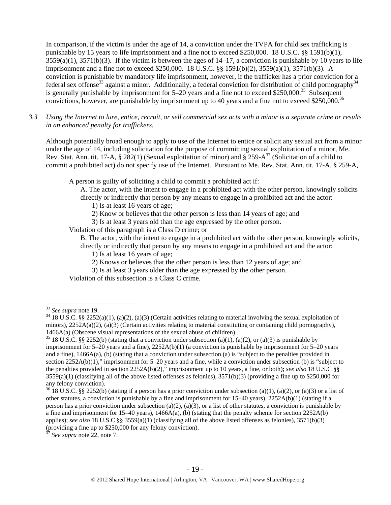In comparison, if the victim is under the age of 14, a conviction under the TVPA for child sex trafficking is punishable by 15 years to life imprisonment and a fine not to exceed \$250,000. 18 U.S.C. §§ 1591(b)(1),  $3559(a)(1)$ ,  $3571(b)(3)$ . If the victim is between the ages of  $14-17$ , a conviction is punishable by 10 years to life imprisonment and a fine not to exceed \$250,000. 18 U.S.C. §§ 1591(b)(2), 3559(a)(1), 3571(b)(3). A conviction is punishable by mandatory life imprisonment, however, if the trafficker has a prior conviction for a federal sex offense<sup>33</sup> against a minor. Additionally, a federal conviction for distribution of child pornography<sup>34</sup> is generally punishable by imprisonment for  $5-20$  years and a fine not to exceed \$250,000.<sup>35</sup> Subsequent convictions, however, are punishable by imprisonment up to 40 years and a fine not to exceed \$250,000.<sup>36</sup>

*3.3 Using the Internet to lure, entice, recruit, or sell commercial sex acts with a minor is a separate crime or results in an enhanced penalty for traffickers.* 

Although potentially broad enough to apply to use of the Internet to entice or solicit any sexual act from a minor under the age of 14, including solicitation for the purpose of committing sexual exploitation of a minor, Me. Rev. Stat. Ann. tit. 17-A, § 282(1) (Sexual exploitation of minor) and § 259-A<sup>37</sup> (Solicitation of a child to commit a prohibited act) do not specify use of the Internet. Pursuant to Me. Rev. Stat. Ann. tit. 17-A, § 259-A,

A person is guilty of soliciting a child to commit a prohibited act if:

- A. The actor, with the intent to engage in a prohibited act with the other person, knowingly solicits directly or indirectly that person by any means to engage in a prohibited act and the actor:
	- 1) Is at least 16 years of age;
	- 2) Know or believes that the other person is less than 14 years of age; and
	- 3) Is at least 3 years old than the age expressed by the other person.

Violation of this paragraph is a Class D crime; or

B. The actor, with the intent to engage in a prohibited act with the other person, knowingly solicits, directly or indirectly that person by any means to engage in a prohibited act and the actor:

- 1) Is at least 16 years of age;
- 2) Knows or believes that the other person is less than 12 years of age; and
- 3) Is at least 3 years older than the age expressed by the other person.

Violation of this subsection is a Class C crime.

<sup>&</sup>lt;sup>33</sup> *See supra* note 19.<br><sup>34</sup> 18 U.S.C. §§ 2252(a)(1), (a)(2), (a)(3) (Certain activities relating to material involving the sexual exploitation of minors),  $2252A(a)(2)$ ,  $(a)(3)$  (Certain activities relating to material constituting or containing child pornography), 1466A(a) (Obscene visual representations of the sexual abuse of children).<br><sup>35</sup> 18 U.S.C. §§ 2252(b) (stating that a conviction under subsection (a)(1), (a)(2), or (a)(3) is punishable by

imprisonment for 5–20 years and a fine), 2252A(b)(1) (a conviction is punishable by imprisonment for 5–20 years and a fine), 1466A(a), (b) (stating that a conviction under subsection (a) is "subject to the penalties provided in section 2252A(b)(1)," imprisonment for 5–20 years and a fine, while a conviction under subsection (b) is "subject to the penalties provided in section 2252A(b)(2)," imprisonment up to 10 years, a fine, or both); *see also* 18 U.S.C §§  $3559(a)(1)$  (classifying all of the above listed offenses as felonies),  $3571(b)(3)$  (providing a fine up to \$250,000 for any felony conviction).

 $36\,18$  U.S.C. §§ 2252(b) (stating if a person has a prior conviction under subsection (a)(1), (a)(2), or (a)(3) or a list of other statutes, a conviction is punishable by a fine and imprisonment for 15–40 years), 2252A(b)(1) (stating if a person has a prior conviction under subsection (a)(2), (a)(3), or a list of other statutes, a conviction is punishable by a fine and imprisonment for 15–40 years), 1466A(a), (b) (stating that the penalty scheme for section 2252A(b) applies); *see also* 18 U.S.C §§ 3559(a)(1) (classifying all of the above listed offenses as felonies), 3571(b)(3) (providing a fine up to \$250,000 for any felony conviction).

See supra note 22, note 7.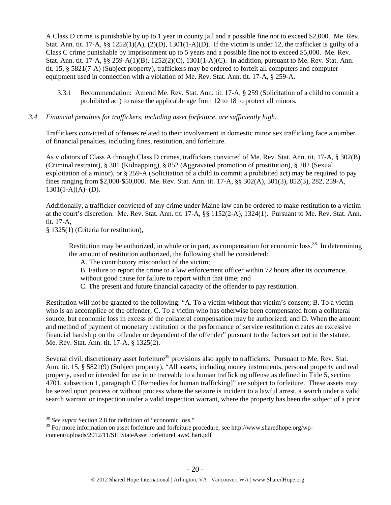A Class D crime is punishable by up to 1 year in county jail and a possible fine not to exceed \$2,000. Me. Rev. Stat. Ann. tit. 17-A,  $\S$ § 1252(1)(A), (2)(D), 1301(1-A)(D). If the victim is under 12, the trafficker is guilty of a Class C crime punishable by imprisonment up to 5 years and a possible fine not to exceed \$5,000. Me. Rev. Stat. Ann. tit. 17-A, §§ 259-A(1)(B), 1252(2)(C), 1301(1-A)(C). In addition, pursuant to Me. Rev. Stat. Ann. tit. 15, § 5821(7-A) (Subject property), traffickers may be ordered to forfeit all computers and computer equipment used in connection with a violation of Me. Rev. Stat. Ann. tit. 17-A, § 259-A.

3.3.1 Recommendation: Amend Me. Rev. Stat. Ann. tit. 17-A, § 259 (Solicitation of a child to commit a prohibited act) to raise the applicable age from 12 to 18 to protect all minors.

## *3.4 Financial penalties for traffickers, including asset forfeiture, are sufficiently high.*

Traffickers convicted of offenses related to their involvement in domestic minor sex trafficking face a number of financial penalties, including fines, restitution, and forfeiture.

As violators of Class A through Class D crimes, traffickers convicted of Me. Rev. Stat. Ann. tit. 17-A, § 302(B) (Criminal restraint), § 301 (Kidnapping), § 852 (Aggravated promotion of prostitution), § 282 (Sexual exploitation of a minor), or § 259-A (Solicitation of a child to commit a prohibited act) may be required to pay fines ranging from \$2,000-\$50,000. Me. Rev. Stat. Ann. tit. 17-A, §§ 302(A), 301(3), 852(3), 282, 259-A,  $1301(1-A)(A)$ –(D).

Additionally, a trafficker convicted of any crime under Maine law can be ordered to make restitution to a victim at the court's discretion. Me. Rev. Stat. Ann. tit. 17-A, §§ 1152(2-A), 1324(1). Pursuant to Me. Rev. Stat. Ann. tit. 17-A,

§ 1325(1) (Criteria for restitution),

Restitution may be authorized, in whole or in part, as compensation for economic loss.<sup>38</sup> In determining the amount of restitution authorized, the following shall be considered:

A. The contributory misconduct of the victim;

B. Failure to report the crime to a law enforcement officer within 72 hours after its occurrence,

without good cause for failure to report within that time; and

C. The present and future financial capacity of the offender to pay restitution.

Restitution will not be granted to the following: "A. To a victim without that victim's consent; B. To a victim who is an accomplice of the offender; C. To a victim who has otherwise been compensated from a collateral source, but economic loss in excess of the collateral compensation may be authorized; and D. When the amount and method of payment of monetary restitution or the performance of service restitution creates an excessive financial hardship on the offender or dependent of the offender" pursuant to the factors set out in the statute. Me. Rev. Stat. Ann. tit. 17-A, § 1325(2).

Several civil, discretionary asset forfeiture<sup>39</sup> provisions also apply to traffickers. Pursuant to Me. Rev. Stat. Ann. tit. 15, § 5821(9) (Subject property), "All assets, including money instruments, personal property and real property, used or intended for use in or traceable to a human trafficking offense as defined in Title 5, section 4701, subsection 1, paragraph C [Remedies for human trafficking]" are subject to forfeiture. These assets may be seized upon process or without process where the seizure is incident to a lawful arrest, a search under a valid search warrant or inspection under a valid inspection warrant, where the property has been the subject of a prior

 $\overline{a}$ <sup>38</sup> *See supra* Section 2.8 for definition of "economic loss."

 $39$  For more information on asset forfeiture and forfeiture procedure, see http://www.sharedhope.org/wpcontent/uploads/2012/11/SHIStateAssetForfeitureLawsChart.pdf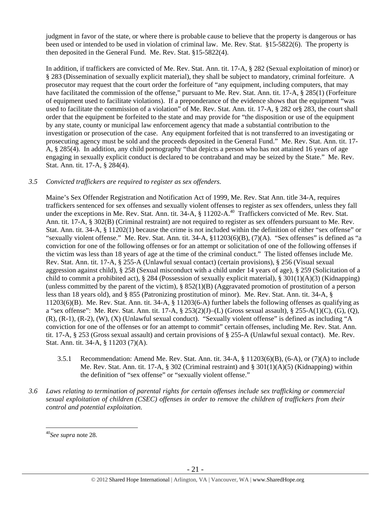judgment in favor of the state, or where there is probable cause to believe that the property is dangerous or has been used or intended to be used in violation of criminal law. Me. Rev. Stat. §15-5822(6). The property is then deposited in the General Fund. Me. Rev. Stat. §15-5822(4).

In addition, if traffickers are convicted of Me. Rev. Stat. Ann. tit. 17-A, § 282 (Sexual exploitation of minor) or § 283 (Dissemination of sexually explicit material), they shall be subject to mandatory, criminal forfeiture. A prosecutor may request that the court order the forfeiture of "any equipment, including computers, that may have facilitated the commission of the offense," pursuant to Me. Rev. Stat. Ann. tit. 17-A, § 285(1) (Forfeiture of equipment used to facilitate violations). If a preponderance of the evidence shows that the equipment "was used to facilitate the commission of a violation" of Me. Rev. Stat. Ann. tit. 17-A, § 282 or§ 283, the court shall order that the equipment be forfeited to the state and may provide for "the disposition or use of the equipment by any state, county or municipal law enforcement agency that made a substantial contribution to the investigation or prosecution of the case. Any equipment forfeited that is not transferred to an investigating or prosecuting agency must be sold and the proceeds deposited in the General Fund." Me. Rev. Stat. Ann. tit. 17- A, § 285(4). In addition, any child pornography "that depicts a person who has not attained 16 years of age engaging in sexually explicit conduct is declared to be contraband and may be seized by the State." Me. Rev. Stat. Ann. tit. 17-A, § 284(4).

## *3.5 Convicted traffickers are required to register as sex offenders.*

Maine's Sex Offender Registration and Notification Act of 1999, Me. Rev. Stat Ann. title 34-A, requires traffickers sentenced for sex offenses and sexually violent offenses to register as sex offenders, unless they fall under the exceptions in Me. Rev. Stat. Ann. tit. 34-A, § 11202-A.<sup>40</sup> Traffickers convicted of Me. Rev. Stat. Ann. tit. 17-A, § 302(B) (Criminal restraint) are not required to register as sex offenders pursuant to Me. Rev. Stat. Ann. tit. 34-A, § 11202(1) because the crime is not included within the definition of either "sex offense" or "sexually violent offense." Me. Rev. Stat. Ann. tit.  $34-A$ ,  $$11203(6)(B)$ ,  $(7)(A)$ . "Sex offenses" is defined as "a conviction for one of the following offenses or for an attempt or solicitation of one of the following offenses if the victim was less than 18 years of age at the time of the criminal conduct." The listed offenses include Me. Rev. Stat. Ann. tit. 17-A, § 255-A (Unlawful sexual contact) (certain provisions), § 256 (Visual sexual aggression against child), § 258 (Sexual misconduct with a child under 14 years of age), § 259 (Solicitation of a child to commit a prohibited act), § 284 (Possession of sexually explicit material), § 301(1)(A)(3) (Kidnapping) (unless committed by the parent of the victim),  $\S 852(1)(B)$  (Aggravated promotion of prostitution of a person less than 18 years old), and § 855 (Patronizing prostitution of minor). Me. Rev. Stat. Ann. tit. 34-A, § 11203(6)(B). Me. Rev. Stat. Ann. tit. 34-A, § 11203(6-A) further labels the following offenses as qualifying as a "sex offense": Me. Rev. Stat. Ann. tit. 17-A, § 253(2)(J)–(L) (Gross sexual assault), § 255-A(1)(C), (G), (Q), (R), (R-1), (R-2), (W), (X) (Unlawful sexual conduct). "Sexually violent offense" is defined as including "A conviction for one of the offenses or for an attempt to commit" certain offenses, including Me. Rev. Stat. Ann. tit. 17-A, § 253 (Gross sexual assault) and certain provisions of § 255-A (Unlawful sexual contact). Me. Rev. Stat. Ann. tit. 34-A, § 11203 (7)(A).

- 3.5.1 Recommendation: Amend Me. Rev. Stat. Ann. tit. 34-A, § 11203(6)(B), (6-A), or (7)(A) to include Me. Rev. Stat. Ann. tit. 17-A, § 302 (Criminal restraint) and § 301(1)(A)(5) (Kidnapping) within the definition of "sex offense" or "sexually violent offense."
- *3.6 Laws relating to termination of parental rights for certain offenses include sex trafficking or commercial sexual exploitation of children (CSEC) offenses in order to remove the children of traffickers from their control and potential exploitation.*

<sup>40</sup>*See supra* note 28.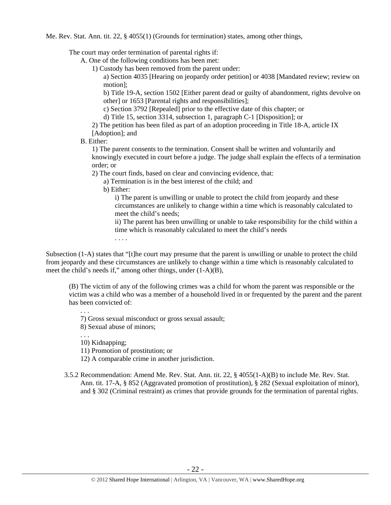Me. Rev. Stat. Ann. tit. 22, § 4055(1) (Grounds for termination) states, among other things,

The court may order termination of parental rights if:

A. One of the following conditions has been met:

1) Custody has been removed from the parent under:

a) Section 4035 [Hearing on jeopardy order petition] or 4038 [Mandated review; review on motion];

b) Title 19-A, section 1502 [Either parent dead or guilty of abandonment, rights devolve on other] or 1653 [Parental rights and responsibilities];

c) Section 3792 [Repealed] prior to the effective date of this chapter; or

d) Title 15, section 3314, subsection 1, paragraph C-1 [Disposition]; or

2) The petition has been filed as part of an adoption proceeding in Title 18-A, article IX [Adoption]; and

## B. Either:

1) The parent consents to the termination. Consent shall be written and voluntarily and knowingly executed in court before a judge. The judge shall explain the effects of a termination order; or

2) The court finds, based on clear and convincing evidence, that:

a) Termination is in the best interest of the child; and

b) Either:

i) The parent is unwilling or unable to protect the child from jeopardy and these circumstances are unlikely to change within a time which is reasonably calculated to meet the child's needs;

ii) The parent has been unwilling or unable to take responsibility for the child within a time which is reasonably calculated to meet the child's needs

. . . .

Subsection (1-A) states that "[t]he court may presume that the parent is unwilling or unable to protect the child from jeopardy and these circumstances are unlikely to change within a time which is reasonably calculated to meet the child's needs if," among other things, under (1-A)(B),

(B) The victim of any of the following crimes was a child for whom the parent was responsible or the victim was a child who was a member of a household lived in or frequented by the parent and the parent has been convicted of:

7) Gross sexual misconduct or gross sexual assault;

8) Sexual abuse of minors;

10) Kidnapping;

. . .

. . .

11) Promotion of prostitution; or

12) A comparable crime in another jurisdiction.

3.5.2 Recommendation: Amend Me. Rev. Stat. Ann. tit. 22, § 4055(1-A)(B) to include Me. Rev. Stat. Ann. tit. 17-A, § 852 (Aggravated promotion of prostitution), § 282 (Sexual exploitation of minor), and § 302 (Criminal restraint) as crimes that provide grounds for the termination of parental rights.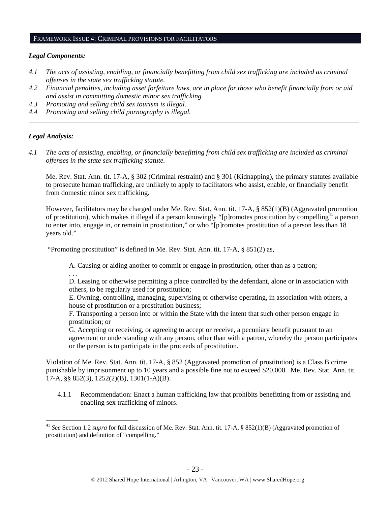### FRAMEWORK ISSUE 4: CRIMINAL PROVISIONS FOR FACILITATORS

#### *Legal Components:*

- *4.1 The acts of assisting, enabling, or financially benefitting from child sex trafficking are included as criminal offenses in the state sex trafficking statute.*
- *4.2 Financial penalties, including asset forfeiture laws, are in place for those who benefit financially from or aid and assist in committing domestic minor sex trafficking.*

*\_\_\_\_\_\_\_\_\_\_\_\_\_\_\_\_\_\_\_\_\_\_\_\_\_\_\_\_\_\_\_\_\_\_\_\_\_\_\_\_\_\_\_\_\_\_\_\_\_\_\_\_\_\_\_\_\_\_\_\_\_\_\_\_\_\_\_\_\_\_\_\_\_\_\_\_\_\_\_\_\_\_\_\_\_\_\_\_\_\_\_\_\_\_* 

- *4.3 Promoting and selling child sex tourism is illegal.*
- *4.4 Promoting and selling child pornography is illegal.*

#### *Legal Analysis:*

*4.1 The acts of assisting, enabling, or financially benefitting from child sex trafficking are included as criminal offenses in the state sex trafficking statute.*

Me. Rev. Stat. Ann. tit. 17-A, § 302 (Criminal restraint) and § 301 (Kidnapping), the primary statutes available to prosecute human trafficking, are unlikely to apply to facilitators who assist, enable, or financially benefit from domestic minor sex trafficking.

However, facilitators may be charged under Me. Rev. Stat. Ann. tit. 17-A, § 852(1)(B) (Aggravated promotion of prostitution), which makes it illegal if a person knowingly "[p]romotes prostitution by compelling<sup>41</sup> a person to enter into, engage in, or remain in prostitution," or who "[p]romotes prostitution of a person less than 18 years old."

"Promoting prostitution" is defined in Me. Rev. Stat. Ann. tit. 17-A, § 851(2) as,

A. Causing or aiding another to commit or engage in prostitution, other than as a patron;

. . .

 $\overline{a}$ 

D. Leasing or otherwise permitting a place controlled by the defendant, alone or in association with others, to be regularly used for prostitution;

E. Owning, controlling, managing, supervising or otherwise operating, in association with others, a house of prostitution or a prostitution business;

F. Transporting a person into or within the State with the intent that such other person engage in prostitution; or

G. Accepting or receiving, or agreeing to accept or receive, a pecuniary benefit pursuant to an agreement or understanding with any person, other than with a patron, whereby the person participates or the person is to participate in the proceeds of prostitution.

Violation of Me. Rev. Stat. Ann. tit. 17-A, § 852 (Aggravated promotion of prostitution) is a Class B crime punishable by imprisonment up to 10 years and a possible fine not to exceed \$20,000. Me. Rev. Stat. Ann. tit. 17-A, §§ 852(3), 1252(2)(B), 1301(1-A)(B).

4.1.1 Recommendation: Enact a human trafficking law that prohibits benefitting from or assisting and enabling sex trafficking of minors.

<sup>&</sup>lt;sup>41</sup> *See* Section 1.2 *supra* for full discussion of Me. Rev. Stat. Ann. tit. 17-A, § 852(1)(B) (Aggravated promotion of prostitution) and definition of "compelling."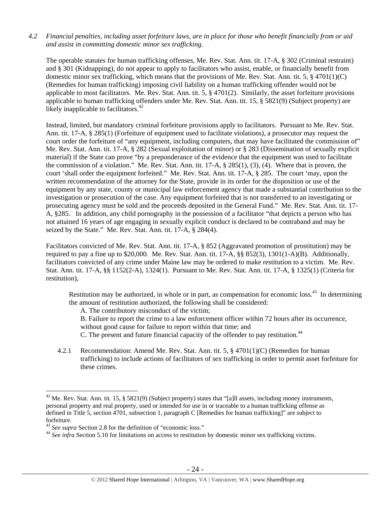## *4.2 Financial penalties, including asset forfeiture laws, are in place for those who benefit financially from or aid and assist in committing domestic minor sex trafficking.*

The operable statutes for human trafficking offenses, Me. Rev. Stat. Ann. tit. 17-A, § 302 (Criminal restraint) and § 301 (Kidnapping), do not appear to apply to facilitators who assist, enable, or financially benefit from domestic minor sex trafficking, which means that the provisions of Me. Rev. Stat. Ann. tit. 5,  $\S$  4701(1)(C) (Remedies for human trafficking) imposing civil liability on a human trafficking offender would not be applicable to most facilitators. Me. Rev. Stat. Ann. tit. 5,  $\S$  4701(2). Similarly, the asset for feiture provisions applicable to human trafficking offenders under Me. Rev. Stat. Ann. tit. 15, § 5821(9) (Subject property) are likely inapplicable to facilitators.<sup>42</sup>

Instead, limited, but mandatory criminal forfeiture provisions apply to facilitators. Pursuant to Me. Rev. Stat. Ann. tit. 17-A, § 285(1) (Forfeiture of equipment used to facilitate violations), a prosecutor may request the court order the forfeiture of "any equipment, including computers, that may have facilitated the commission of" Me. Rev. Stat. Ann. tit. 17-A, § 282 (Sexual exploitation of minor) or § 283 (Dissemination of sexually explicit material) if the State can prove "by a preponderance of the evidence that the equipment was used to facilitate the commission of a violation." Me. Rev. Stat. Ann. tit. 17-A, § 285(1), (3), (4). Where that is proven, the court 'shall order the equipment forfeited." Me. Rev. Stat. Ann. tit. 17-A, § 285. The court 'may, upon the written recommendation of the attorney for the State, provide in its order for the disposition or use of the equipment by any state, county or municipal law enforcement agency that made a substantial contribution to the investigation or prosecution of the case. Any equipment forfeited that is not transferred to an investigating or prosecuting agency must be sold and the proceeds deposited in the General Fund." Me. Rev. Stat. Ann. tit. 17- A, §285. In addition, any child pornography in the possession of a facilitator "that depicts a person who has not attained 16 years of age engaging in sexually explicit conduct is declared to be contraband and may be seized by the State." Me. Rev. Stat. Ann. tit. 17-A, § 284(4).

Facilitators convicted of Me. Rev. Stat. Ann. tit. 17-A, § 852 (Aggravated promotion of prostitution) may be required to pay a fine up to \$20,000. Me. Rev. Stat. Ann. tit. 17-A, §§ 852(3), 1301(1-A)(B). Additionally, facilitators convicted of any crime under Maine law may be ordered to make restitution to a victim. Me. Rev. Stat. Ann. tit. 17-A, §§ 1152(2-A), 1324(1). Pursuant to Me. Rev. Stat. Ann. tit. 17-A, § 1325(1) (Criteria for restitution),

Restitution may be authorized, in whole or in part, as compensation for economic loss.<sup>43</sup> In determining the amount of restitution authorized, the following shall be considered:

A. The contributory misconduct of the victim;

B. Failure to report the crime to a law enforcement officer within 72 hours after its occurrence,

without good cause for failure to report within that time; and

C. The present and future financial capacity of the offender to pay restitution.<sup>44</sup>

4.2.1 Recommendation: Amend Me. Rev. Stat. Ann. tit. 5, § 4701(1)(C) (Remedies for human trafficking) to include actions of facilitators of sex trafficking in order to permit asset forfeiture for these crimes.

<sup>&</sup>lt;sup>42</sup> Me. Rev. Stat. Ann. tit. 15, § 5821(9) (Subject property) states that "[a]ll assets, including money instruments, personal property and real property, used or intended for use in or traceable to a human trafficking offense as defined in Title 5, section 4701, subsection 1, paragraph C [Remedies for human trafficking]" are subject to forfeiture.<br><sup>43</sup> See supra Section 2.8 for the definition of "economic loss."

<sup>&</sup>lt;sup>44</sup> See infra Section 5.10 for limitations on access to restitution by domestic minor sex trafficking victims.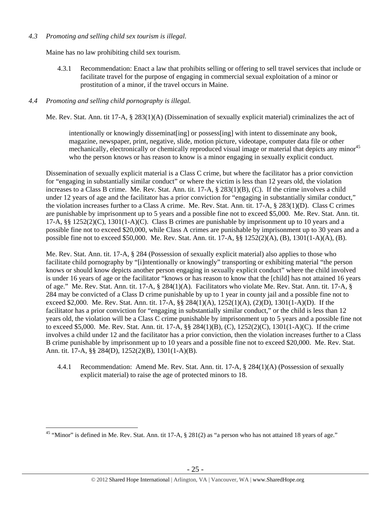## *4.3 Promoting and selling child sex tourism is illegal*.

Maine has no law prohibiting child sex tourism.

4.3.1 Recommendation: Enact a law that prohibits selling or offering to sell travel services that include or facilitate travel for the purpose of engaging in commercial sexual exploitation of a minor or prostitution of a minor, if the travel occurs in Maine.

## *4.4 Promoting and selling child pornography is illegal.*

 $\overline{a}$ 

Me. Rev. Stat. Ann. tit 17-A, § 283(1)(A) (Dissemination of sexually explicit material) criminalizes the act of

intentionally or knowingly disseminat [ing] or possess[ing] with intent to disseminate any book, magazine, newspaper, print, negative, slide, motion picture, videotape, computer data file or other mechanically, electronically or chemically reproduced visual image or material that depicts any minor<sup>45</sup> who the person knows or has reason to know is a minor engaging in sexually explicit conduct.

Dissemination of sexually explicit material is a Class C crime, but where the facilitator has a prior conviction for "engaging in substantially similar conduct" or where the victim is less than 12 years old, the violation increases to a Class B crime. Me. Rev. Stat. Ann. tit. 17-A, § 283(1)(B), (C). If the crime involves a child under 12 years of age and the facilitator has a prior conviction for "engaging in substantially similar conduct," the violation increases further to a Class A crime. Me. Rev. Stat. Ann. tit. 17-A, § 283(1)(D). Class C crimes are punishable by imprisonment up to 5 years and a possible fine not to exceed \$5,000. Me. Rev. Stat. Ann. tit. 17-A, §§ 1252(2)(C), 1301(1-A)(C). Class B crimes are punishable by imprisonment up to 10 years and a possible fine not to exceed \$20,000, while Class A crimes are punishable by imprisonment up to 30 years and a possible fine not to exceed \$50,000. Me. Rev. Stat. Ann. tit. 17-A, §§ 1252(2)(A), (B), 1301(1-A)(A), (B).

Me. Rev. Stat. Ann. tit. 17-A, § 284 (Possession of sexually explicit material) also applies to those who facilitate child pornography by "[i]ntentionally or knowingly" transporting or exhibiting material "the person knows or should know depicts another person engaging in sexually explicit conduct" where the child involved is under 16 years of age or the facilitator "knows or has reason to know that the [child] has not attained 16 years of age." Me. Rev. Stat. Ann. tit. 17-A, § 284(1)(A). Facilitators who violate Me. Rev. Stat. Ann. tit. 17-A, § 284 may be convicted of a Class D crime punishable by up to 1 year in county jail and a possible fine not to exceed \$2,000. Me. Rev. Stat. Ann. tit. 17-A, §§ 284(1)(A), 1252(1)(A), (2)(D), 1301(1-A)(D). If the facilitator has a prior conviction for "engaging in substantially similar conduct," or the child is less than 12 years old, the violation will be a Class C crime punishable by imprisonment up to 5 years and a possible fine not to exceed \$5,000. Me. Rev. Stat. Ann. tit. 17-A, §§ 284(1)(B), (C), 1252(2)(C), 1301(1-A)(C). If the crime involves a child under 12 and the facilitator has a prior conviction, then the violation increases further to a Class B crime punishable by imprisonment up to 10 years and a possible fine not to exceed \$20,000. Me. Rev. Stat. Ann. tit. 17-A, §§ 284(D), 1252(2)(B), 1301(1-A)(B).

4.4.1 Recommendation: Amend Me. Rev. Stat. Ann. tit. 17-A, § 284(1)(A) (Possession of sexually explicit material) to raise the age of protected minors to 18.

<sup>&</sup>lt;sup>45</sup> "Minor" is defined in Me. Rev. Stat. Ann. tit 17-A,  $\S$  281(2) as "a person who has not attained 18 years of age."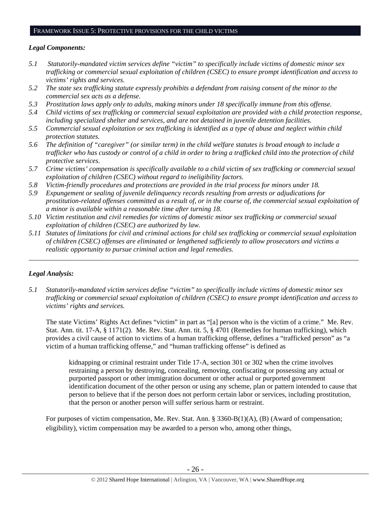#### FRAMEWORK ISSUE 5: PROTECTIVE PROVISIONS FOR THE CHILD VICTIMS

## *Legal Components:*

- *5.1 Statutorily-mandated victim services define "victim" to specifically include victims of domestic minor sex trafficking or commercial sexual exploitation of children (CSEC) to ensure prompt identification and access to victims' rights and services.*
- *5.2 The state sex trafficking statute expressly prohibits a defendant from raising consent of the minor to the commercial sex acts as a defense.*
- *5.3 Prostitution laws apply only to adults, making minors under 18 specifically immune from this offense.*
- *5.4 Child victims of sex trafficking or commercial sexual exploitation are provided with a child protection response, including specialized shelter and services, and are not detained in juvenile detention facilities.*
- *5.5 Commercial sexual exploitation or sex trafficking is identified as a type of abuse and neglect within child protection statutes.*
- *5.6 The definition of "caregiver" (or similar term) in the child welfare statutes is broad enough to include a trafficker who has custody or control of a child in order to bring a trafficked child into the protection of child protective services.*
- *5.7 Crime victims' compensation is specifically available to a child victim of sex trafficking or commercial sexual exploitation of children (CSEC) without regard to ineligibility factors.*
- *5.8 Victim-friendly procedures and protections are provided in the trial process for minors under 18.*
- *5.9 Expungement or sealing of juvenile delinquency records resulting from arrests or adjudications for prostitution-related offenses committed as a result of, or in the course of, the commercial sexual exploitation of a minor is available within a reasonable time after turning 18.*
- *5.10 Victim restitution and civil remedies for victims of domestic minor sex trafficking or commercial sexual exploitation of children (CSEC) are authorized by law.*
- *5.11 Statutes of limitations for civil and criminal actions for child sex trafficking or commercial sexual exploitation of children (CSEC) offenses are eliminated or lengthened sufficiently to allow prosecutors and victims a realistic opportunity to pursue criminal action and legal remedies.*

*\_\_\_\_\_\_\_\_\_\_\_\_\_\_\_\_\_\_\_\_\_\_\_\_\_\_\_\_\_\_\_\_\_\_\_\_\_\_\_\_\_\_\_\_\_\_\_\_\_\_\_\_\_\_\_\_\_\_\_\_\_\_\_\_\_\_\_\_\_\_\_\_\_\_\_\_\_\_\_\_\_\_\_\_\_\_\_\_\_\_\_\_\_\_* 

# *Legal Analysis:*

*5.1 Statutorily-mandated victim services define "victim" to specifically include victims of domestic minor sex trafficking or commercial sexual exploitation of children (CSEC) to ensure prompt identification and access to victims' rights and services.* 

The state Victims' Rights Act defines "victim" in part as "[a] person who is the victim of a crime." Me. Rev. Stat. Ann. tit. 17-A, § 1171(2). Me. Rev. Stat. Ann. tit. 5, § 4701 (Remedies for human trafficking), which provides a civil cause of action to victims of a human trafficking offense, defines a "trafficked person" as "a victim of a human trafficking offense," and "human trafficking offense" is defined as

kidnapping or criminal restraint under Title 17-A, section 301 or 302 when the crime involves restraining a person by destroying, concealing, removing, confiscating or possessing any actual or purported passport or other immigration document or other actual or purported government identification document of the other person or using any scheme, plan or pattern intended to cause that person to believe that if the person does not perform certain labor or services, including prostitution, that the person or another person will suffer serious harm or restraint.

For purposes of victim compensation, Me. Rev. Stat. Ann. § 3360-B(1)(A), (B) (Award of compensation; eligibility), victim compensation may be awarded to a person who, among other things,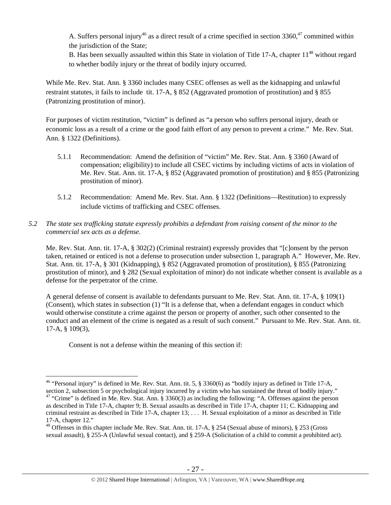A. Suffers personal injury<sup>46</sup> as a direct result of a crime specified in section 3360,<sup>47</sup> committed within the jurisdiction of the State;

B. Has been sexually assaulted within this State in violation of Title 17-A, chapter  $11^{48}$  without regard to whether bodily injury or the threat of bodily injury occurred.

While Me. Rev. Stat. Ann. § 3360 includes many CSEC offenses as well as the kidnapping and unlawful restraint statutes, it fails to include tit. 17-A, § 852 (Aggravated promotion of prostitution) and § 855 (Patronizing prostitution of minor).

For purposes of victim restitution, "victim" is defined as "a person who suffers personal injury, death or economic loss as a result of a crime or the good faith effort of any person to prevent a crime." Me. Rev. Stat. Ann. § 1322 (Definitions).

- 5.1.1 Recommendation: Amend the definition of "victim" Me. Rev. Stat. Ann. § 3360 (Award of compensation; eligibility) to include all CSEC victims by including victims of acts in violation of Me. Rev. Stat. Ann. tit. 17-A, § 852 (Aggravated promotion of prostitution) and § 855 (Patronizing prostitution of minor).
- 5.1.2 Recommendation: Amend Me. Rev. Stat. Ann. § 1322 (Definitions—Restitution) to expressly include victims of trafficking and CSEC offenses.

## *5.2 The state sex trafficking statute expressly prohibits a defendant from raising consent of the minor to the commercial sex acts as a defense.*

Me. Rev. Stat. Ann. tit. 17-A, § 302(2) (Criminal restraint) expressly provides that "[c]onsent by the person taken, retained or enticed is not a defense to prosecution under subsection 1, paragraph A." However, Me. Rev. Stat. Ann. tit. 17-A, § 301 (Kidnapping), § 852 (Aggravated promotion of prostitution), § 855 (Patronizing prostitution of minor), and § 282 (Sexual exploitation of minor) do not indicate whether consent is available as a defense for the perpetrator of the crime.

A general defense of consent is available to defendants pursuant to Me. Rev. Stat. Ann. tit. 17-A, § 109(1) (Consent), which states in subsection (1) "It is a defense that, when a defendant engages in conduct which would otherwise constitute a crime against the person or property of another, such other consented to the conduct and an element of the crime is negated as a result of such consent." Pursuant to Me. Rev. Stat. Ann. tit. 17-A, § 109(3),

Consent is not a defense within the meaning of this section if:

<sup>&</sup>lt;sup>46</sup> "Personal injury" is defined in Me. Rev. Stat. Ann. tit. 5, § 3360(6) as "bodily injury as defined in Title 17-A, section 2, subsection 5 or psychological injury incurred by a victim who has sustained the threat of bodily injury."

<sup>&</sup>lt;sup>47</sup> "Crime" is defined in Me. Rev. Stat. Ann. § 3360(3) as including the following: "A. Offenses against the person as described in Title 17-A, chapter 9; B. Sexual assaults as described in Title 17-A, chapter 11; C. Kidnapping and criminal restraint as described in Title 17-A, chapter 13; . . . H. Sexual exploitation of a minor as described in Title 17-A, chapter 12."

<sup>&</sup>lt;sup>48</sup> Offenses in this chapter include Me. Rev. Stat. Ann. tit. 17-A, § 254 (Sexual abuse of minors), § 253 (Gross sexual assault), § 255-A (Unlawful sexual contact), and § 259-A (Solicitation of a child to commit a prohibited act).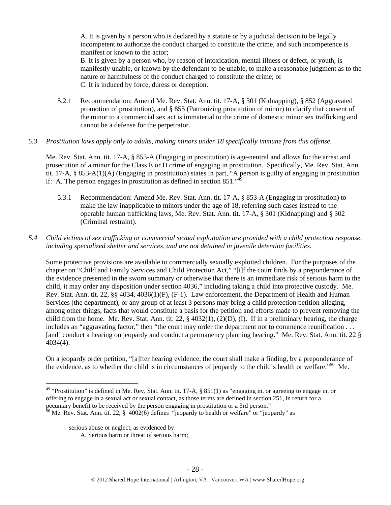A. It is given by a person who is declared by a statute or by a judicial decision to be legally incompetent to authorize the conduct charged to constitute the crime, and such incompetence is manifest or known to the actor;

B. It is given by a person who, by reason of intoxication, mental illness or defect, or youth, is manifestly unable, or known by the defendant to be unable, to make a reasonable judgment as to the nature or harmfulness of the conduct charged to constitute the crime; or C. It is induced by force, duress or deception.

5.2.1 Recommendation: Amend Me. Rev. Stat. Ann. tit. 17-A, § 301 (Kidnapping), § 852 (Aggravated promotion of prostitution), and § 855 (Patronizing prostitution of minor) to clarify that consent of the minor to a commercial sex act is immaterial to the crime of domestic minor sex trafficking and cannot be a defense for the perpetrator.

## *5.3 Prostitution laws apply only to adults, making minors under 18 specifically immune from this offense.*

Me. Rev. Stat. Ann. tit. 17-A, § 853-A (Engaging in prostitution) is age-neutral and allows for the arrest and prosecution of a minor for the Class E or D crime of engaging in prostitution. Specifically, Me. Rev. Stat. Ann. tit. 17-A, § 853-A(1)(A) (Engaging in prostitution) states in part, "A person is guilty of engaging in prostitution if: A. The person engages in prostitution as defined in section  $851.^{49}$ 

- 5.3.1 Recommendation: Amend Me. Rev. Stat. Ann. tit. 17-A, § 853-A (Engaging in prostitution) to make the law inapplicable to minors under the age of 18, referring such cases instead to the operable human trafficking laws, Me. Rev. Stat. Ann. tit. 17-A, § 301 (Kidnapping) and § 302 (Criminal restraint).
- *5.4 Child victims of sex trafficking or commercial sexual exploitation are provided with a child protection response, including specialized shelter and services, and are not detained in juvenile detention facilities.*

Some protective provisions are available to commercially sexually exploited children. For the purposes of the chapter on "Child and Family Services and Child Protection Act," "[i]f the court finds by a preponderance of the evidence presented in the sworn summary or otherwise that there is an immediate risk of serious harm to the child, it may order any disposition under section 4036," including taking a child into protective custody. Me. Rev. Stat. Ann. tit. 22, §§ 4034, 4036(1)(F), (F-1). Law enforcement, the Department of Health and Human Services (the department), or any group of at least 3 persons may bring a child protection petition alleging, among other things, facts that would constitute a basis for the petition and efforts made to prevent removing the child from the home. Me. Rev. Stat. Ann. tit. 22,  $\S$  4032(1), (2)(D), (I). If in a preliminary hearing, the charge includes an "aggravating factor," then "the court may order the department not to commence reunification . . . [and] conduct a hearing on jeopardy and conduct a permanency planning hearing." Me. Rev. Stat. Ann. tit. 22 § 4034(4).

On a jeopardy order petition, "[a]fter hearing evidence, the court shall make a finding, by a preponderance of the evidence, as to whether the child is in circumstances of jeopardy to the child's health or welfare."50 Me.

 $\overline{a}$ <sup>49</sup> "Prostitution" is defined in Me. Rev. Stat. Ann. tit. 17-A, § 851(1) as "engaging in, or agreeing to engage in, or offering to engage in a sexual act or sexual contact, as those terms are defined in section 251, in return for a pecuniary benefit to be received by the person engaging in prostitution or a 3rd person."<br><sup>50</sup> Me. Rev. Stat. Ann. tit. 22, § 4002(6) defines "jeopardy to health or welfare" or "jeopardy" as

serious abuse or neglect, as evidenced by:

A. Serious harm or threat of serious harm;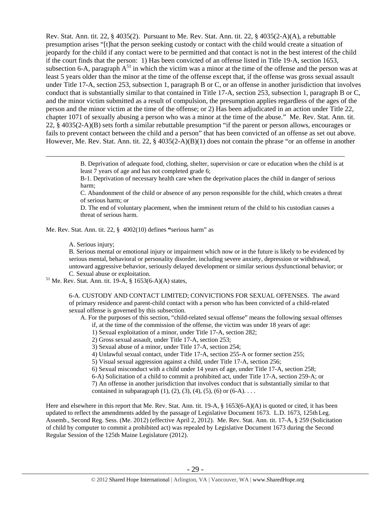Rev. Stat. Ann. tit. 22, § 4035(2). Pursuant to Me. Rev. Stat. Ann. tit. 22, § 4035(2-A)(A), a rebuttable presumption arises "[t]hat the person seeking custody or contact with the child would create a situation of jeopardy for the child if any contact were to be permitted and that contact is not in the best interest of the child if the court finds that the person: 1) Has been convicted of an offense listed in Title 19-A, section 1653, subsection 6-A, paragraph  $A^{51}$  in which the victim was a minor at the time of the offense and the person was at least 5 years older than the minor at the time of the offense except that, if the offense was gross sexual assault under Title 17-A, section 253, subsection 1, paragraph B or C, or an offense in another jurisdiction that involves conduct that is substantially similar to that contained in Title 17-A, section 253, subsection 1, paragraph B or C, and the minor victim submitted as a result of compulsion, the presumption applies regardless of the ages of the person and the minor victim at the time of the offense; or 2) Has been adjudicated in an action under Title 22, chapter 1071 of sexually abusing a person who was a minor at the time of the abuse." Me. Rev. Stat. Ann. tit. 22, § 4035(2-A)(B) sets forth a similar rebuttable presumption "if the parent or person allows, encourages or fails to prevent contact between the child and a person" that has been convicted of an offense as set out above. However, Me. Rev. Stat. Ann. tit. 22, § 4035(2-A)(B)(1) does not contain the phrase "or an offense in another

> B. Deprivation of adequate food, clothing, shelter, supervision or care or education when the child is at least 7 years of age and has not completed grade 6;

B-1. Deprivation of necessary health care when the deprivation places the child in danger of serious harm;

C. Abandonment of the child or absence of any person responsible for the child, which creates a threat of serious harm; or

D. The end of voluntary placement, when the imminent return of the child to his custodian causes a threat of serious harm.

Me. Rev. Stat. Ann. tit. 22, § 4002(10) defines **"**serious harm" as

A. Serious injury;

B. Serious mental or emotional injury or impairment which now or in the future is likely to be evidenced by serious mental, behavioral or personality disorder, including severe anxiety, depression or withdrawal, untoward aggressive behavior, seriously delayed development or similar serious dysfunctional behavior; or

C. Sexual abuse or exploitation. 51 Me. Rev. Stat. Ann. tit. 19-A, § 1653(6-A)(A) states,

6-A. CUSTODY AND CONTACT LIMITED; CONVICTIONS FOR SEXUAL OFFENSES. The award of primary residence and parent-child contact with a person who has been convicted of a child-related sexual offense is governed by this subsection.

A. For the purposes of this section, "child-related sexual offense" means the following sexual offenses

if, at the time of the commission of the offense, the victim was under 18 years of age:

1) Sexual exploitation of a minor, under Title 17-A, section 282;

2) Gross sexual assault, under Title 17-A, section 253;

3) Sexual abuse of a minor, under Title 17-A, section 254;

4) Unlawful sexual contact, under Title 17-A, section 255-A or former section 255;

5) Visual sexual aggression against a child, under Title 17-A, section 256;

6) Sexual misconduct with a child under 14 years of age, under Title 17-A, section 258;

6-A) Solicitation of a child to commit a prohibited act, under Title 17-A, section 259-A; or

7) An offense in another jurisdiction that involves conduct that is substantially similar to that contained in subparagraph  $(1)$ ,  $(2)$ ,  $(3)$ ,  $(4)$ ,  $(5)$ ,  $(6)$  or  $(6-A)$ ...

Here and elsewhere in this report that Me. Rev. Stat. Ann. tit. 19-A, § 1653(6-A)(A) is quoted or cited, it has been updated to reflect the amendments added by the passage of Legislative Document 1673. L.D. 1673, 125th Leg. Assemb., Second Reg. Sess. (Me. 2012) (effective April 2, 2012). Me. Rev. Stat. Ann. tit. 17-A, § 259 (Solicitation of child by computer to commit a prohibited act) was repealed by Legislative Document 1673 during the Second Regular Session of the 125th Maine Legislature (2012).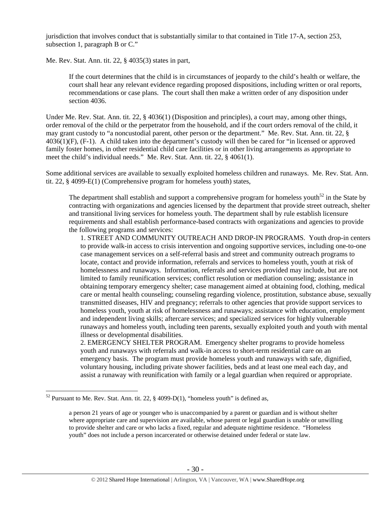jurisdiction that involves conduct that is substantially similar to that contained in Title 17-A, section 253, subsection 1, paragraph B or C."

Me. Rev. Stat. Ann. tit. 22, § 4035(3) states in part,

If the court determines that the child is in circumstances of jeopardy to the child's health or welfare, the court shall hear any relevant evidence regarding proposed dispositions, including written or oral reports, recommendations or case plans. The court shall then make a written order of any disposition under section 4036.

Under Me. Rev. Stat. Ann. tit. 22, § 4036(1) (Disposition and principles), a court may, among other things, order removal of the child or the perpetrator from the household, and if the court orders removal of the child, it may grant custody to "a noncustodial parent, other person or the department." Me. Rev. Stat. Ann. tit. 22, § 4036(1)(F), (F-1). A child taken into the department's custody will then be cared for "in licensed or approved family foster homes, in other residential child care facilities or in other living arrangements as appropriate to meet the child's individual needs." Me. Rev. Stat. Ann. tit. 22, § 4061(1).

Some additional services are available to sexually exploited homeless children and runaways. Me. Rev. Stat. Ann. tit. 22, § 4099-E(1) (Comprehensive program for homeless youth) states,

The department shall establish and support a comprehensive program for homeless youth<sup>52</sup> in the State by contracting with organizations and agencies licensed by the department that provide street outreach, shelter and transitional living services for homeless youth. The department shall by rule establish licensure requirements and shall establish performance-based contracts with organizations and agencies to provide the following programs and services:

1. STREET AND COMMUNITY OUTREACH AND DROP-IN PROGRAMS. Youth drop-in centers to provide walk-in access to crisis intervention and ongoing supportive services, including one-to-one case management services on a self-referral basis and street and community outreach programs to locate, contact and provide information, referrals and services to homeless youth, youth at risk of homelessness and runaways. Information, referrals and services provided may include, but are not limited to family reunification services; conflict resolution or mediation counseling; assistance in obtaining temporary emergency shelter; case management aimed at obtaining food, clothing, medical care or mental health counseling; counseling regarding violence, prostitution, substance abuse, sexually transmitted diseases, HIV and pregnancy; referrals to other agencies that provide support services to homeless youth, youth at risk of homelessness and runaways; assistance with education, employment and independent living skills; aftercare services; and specialized services for highly vulnerable runaways and homeless youth, including teen parents, sexually exploited youth and youth with mental illness or developmental disabilities.

2. EMERGENCY SHELTER PROGRAM. Emergency shelter programs to provide homeless youth and runaways with referrals and walk-in access to short-term residential care on an emergency basis. The program must provide homeless youth and runaways with safe, dignified, voluntary housing, including private shower facilities, beds and at least one meal each day, and assist a runaway with reunification with family or a legal guardian when required or appropriate.

 $52$  Pursuant to Me. Rev. Stat. Ann. tit. 22, § 4099-D(1), "homeless youth" is defined as,

a person 21 years of age or younger who is unaccompanied by a parent or guardian and is without shelter where appropriate care and supervision are available, whose parent or legal guardian is unable or unwilling to provide shelter and care or who lacks a fixed, regular and adequate nighttime residence. "Homeless youth" does not include a person incarcerated or otherwise detained under federal or state law.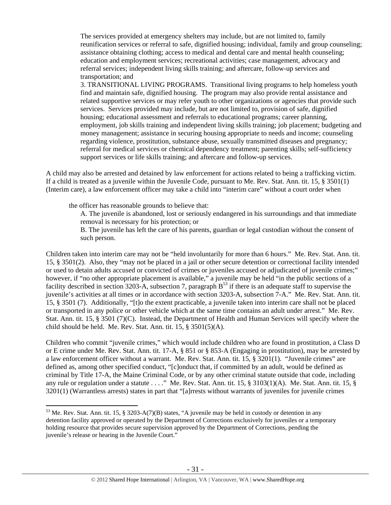The services provided at emergency shelters may include, but are not limited to, family reunification services or referral to safe, dignified housing; individual, family and group counseling; assistance obtaining clothing; access to medical and dental care and mental health counseling; education and employment services; recreational activities; case management, advocacy and referral services; independent living skills training; and aftercare, follow-up services and transportation; and

3. TRANSITIONAL LIVING PROGRAMS. Transitional living programs to help homeless youth find and maintain safe, dignified housing. The program may also provide rental assistance and related supportive services or may refer youth to other organizations or agencies that provide such services. Services provided may include, but are not limited to, provision of safe, dignified housing; educational assessment and referrals to educational programs; career planning, employment, job skills training and independent living skills training; job placement; budgeting and money management; assistance in securing housing appropriate to needs and income; counseling regarding violence, prostitution, substance abuse, sexually transmitted diseases and pregnancy; referral for medical services or chemical dependency treatment; parenting skills; self-sufficiency support services or life skills training; and aftercare and follow-up services.

A child may also be arrested and detained by law enforcement for actions related to being a trafficking victim. If a child is treated as a juvenile within the Juvenile Code, pursuant to Me. Rev. Stat. Ann. tit. 15, § 3501(1) (Interim care), a law enforcement officer may take a child into "interim care" without a court order when

the officer has reasonable grounds to believe that:

 $\overline{a}$ 

A. The juvenile is abandoned, lost or seriously endangered in his surroundings and that immediate removal is necessary for his protection; or

B. The juvenile has left the care of his parents, guardian or legal custodian without the consent of such person.

Children taken into interim care may not be "held involuntarily for more than 6 hours." Me. Rev. Stat. Ann. tit. 15, § 3501(2). Also, they "may not be placed in a jail or other secure detention or correctional facility intended or used to detain adults accused or convicted of crimes or juveniles accused or adjudicated of juvenile crimes;" however, if "no other appropriate placement is available," a juvenile may be held "in the public sections of a facility described in section 3203-A, subsection 7, paragraph  $B^{53}$  if there is an adequate staff to supervise the juvenile's activities at all times or in accordance with section 3203-A, subsection 7-A." Me. Rev. Stat. Ann. tit. 15, § 3501 (7). Additionally, "[t]o the extent practicable, a juvenile taken into interim care shall not be placed or transported in any police or other vehicle which at the same time contains an adult under arrest." Me. Rev. Stat. Ann. tit. 15, § 3501 (7)(C). Instead, the Department of Health and Human Services will specify where the child should be held. Me. Rev. Stat. Ann. tit. 15, § 3501(5)(A).

Children who commit "juvenile crimes," which would include children who are found in prostitution, a Class D or E crime under Me. Rev. Stat. Ann. tit. 17-A, § 851 or § 853-A (Engaging in prostitution), may be arrested by a law enforcement officer without a warrant. Me. Rev. Stat. Ann. tit. 15, § 3201(1). "Juvenile crimes" are defined as, among other specified conduct, "[c]onduct that, if committed by an adult, would be defined as criminal by Title 17-A, the Maine Criminal Code, or by any other criminal statute outside that code, including any rule or regulation under a statute . . . ." Me. Rev. Stat. Ann. tit. 15, § 3103(1)(A). Me. Stat. Ann. tit. 15, § 3201(1) (Warrantless arrests) states in part that "[a]rrests without warrants of juveniles for juvenile crimes

<sup>53</sup> Me. Rev. Stat. Ann. tit. 15, § 3203-A(7)(B) states, "A juvenile may be held in custody or detention in any detention facility approved or operated by the Department of Corrections exclusively for juveniles or a temporary holding resource that provides secure supervision approved by the Department of Corrections, pending the juvenile's release or hearing in the Juvenile Court."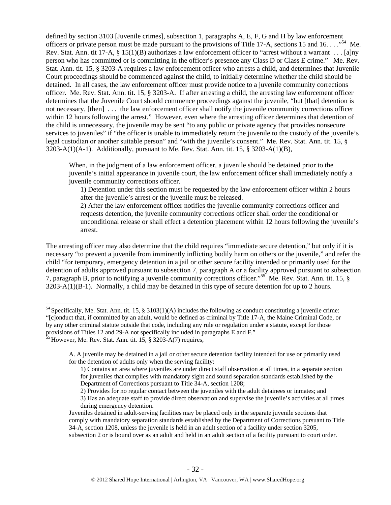defined by section 3103 [Juvenile crimes], subsection 1, paragraphs A, E, F, G and H by law enforcement officers or private person must be made pursuant to the provisions of Title 17-A, sections 15 and 16. . . . "<sup>54</sup> Me. Rev. Stat. Ann. tit 17-A, § 15(1)(B) authorizes a law enforcement officer to "arrest without a warrant . . . [a]ny person who has committed or is committing in the officer's presence any Class D or Class E crime." Me. Rev. Stat. Ann. tit. 15, § 3203-A requires a law enforcement officer who arrests a child, and determines that Juvenile Court proceedings should be commenced against the child, to initially determine whether the child should be detained. In all cases, the law enforcement officer must provide notice to a juvenile community corrections officer. Me. Rev. Stat. Ann. tit. 15, § 3203-A. If after arresting a child, the arresting law enforcement officer determines that the Juvenile Court should commence proceedings against the juvenile, "but [that] detention is not necessary, [then] ... the law enforcement officer shall notify the juvenile community corrections officer within 12 hours following the arrest." However, even where the arresting officer determines that detention of the child is unnecessary, the juvenile may be sent "to any public or private agency that provides nonsecure services to juveniles" if "the officer is unable to immediately return the juvenile to the custody of the juvenile's legal custodian or another suitable person" and "with the juvenile's consent." Me. Rev. Stat. Ann. tit. 15, §  $3203-A(1)(A-1)$ . Additionally, pursuant to Me. Rev. Stat. Ann. tit. 15, § 3203-A(1)(B),

When, in the judgment of a law enforcement officer, a juvenile should be detained prior to the juvenile's initial appearance in juvenile court, the law enforcement officer shall immediately notify a juvenile community corrections officer.

1) Detention under this section must be requested by the law enforcement officer within 2 hours after the juvenile's arrest or the juvenile must be released.

2) After the law enforcement officer notifies the juvenile community corrections officer and requests detention, the juvenile community corrections officer shall order the conditional or unconditional release or shall effect a detention placement within 12 hours following the juvenile's arrest.

The arresting officer may also determine that the child requires "immediate secure detention," but only if it is necessary "to prevent a juvenile from imminently inflicting bodily harm on others or the juvenile," and refer the child "for temporary, emergency detention in a jail or other secure facility intended or primarily used for the detention of adults approved pursuant to subsection 7, paragraph A or a facility approved pursuant to subsection 7, paragraph B, prior to notifying a juvenile community corrections officer."55 Me. Rev. Stat. Ann. tit. 15, § 3203-A(1)(B-1). Normally, a child may be detained in this type of secure detention for up to 2 hours.

<sup>&</sup>lt;sup>54</sup> Specifically, Me. Stat. Ann. tit. 15, § 3103(1)(A) includes the following as conduct constituting a juvenile crime: "[c]onduct that, if committed by an adult, would be defined as criminal by Title 17-A, the Maine Criminal Code, or by any other criminal statute outside that code, including any rule or regulation under a statute, except for those provisions of Titles 12 and 29-A not specifically included in paragraphs E and F."

 $55$  However, Me. Rev. Stat. Ann. tit. 15, § 3203-A(7) requires,

A. A juvenile may be detained in a jail or other secure detention facility intended for use or primarily used for the detention of adults only when the serving facility:

<sup>1)</sup> Contains an area where juveniles are under direct staff observation at all times, in a separate section for juveniles that complies with mandatory sight and sound separation standards established by the Department of Corrections pursuant to Title 34-A, section 1208;

<sup>2)</sup> Provides for no regular contact between the juveniles with the adult detainees or inmates; and

<sup>3)</sup> Has an adequate staff to provide direct observation and supervise the juvenile's activities at all times during emergency detention.

Juveniles detained in adult-serving facilities may be placed only in the separate juvenile sections that comply with mandatory separation standards established by the Department of Corrections pursuant to Title 34-A, section 1208, unless the juvenile is held in an adult section of a facility under section 3205, subsection 2 or is bound over as an adult and held in an adult section of a facility pursuant to court order.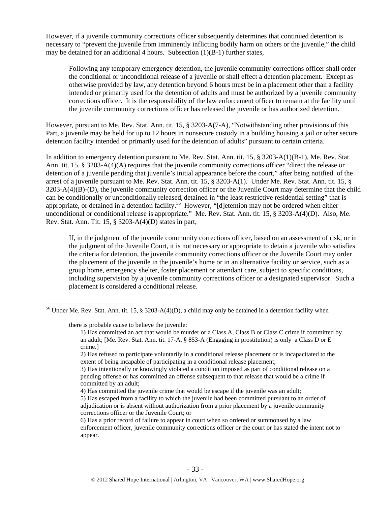However, if a juvenile community corrections officer subsequently determines that continued detention is necessary to "prevent the juvenile from imminently inflicting bodily harm on others or the juvenile," the child may be detained for an additional 4 hours. Subsection (1)(B-1) further states,

Following any temporary emergency detention, the juvenile community corrections officer shall order the conditional or unconditional release of a juvenile or shall effect a detention placement. Except as otherwise provided by law, any detention beyond 6 hours must be in a placement other than a facility intended or primarily used for the detention of adults and must be authorized by a juvenile community corrections officer. It is the responsibility of the law enforcement officer to remain at the facility until the juvenile community corrections officer has released the juvenile or has authorized detention.

However, pursuant to Me. Rev. Stat. Ann. tit. 15, § 3203-A(7-A), "Notwithstanding other provisions of this Part, a juvenile may be held for up to 12 hours in nonsecure custody in a building housing a jail or other secure detention facility intended or primarily used for the detention of adults" pursuant to certain criteria.

In addition to emergency detention pursuant to Me. Rev. Stat. Ann. tit. 15, § 3203-A(1)(B-1), Me. Rev. Stat. Ann. tit. 15, § 3203-A(4)(A) requires that the juvenile community corrections officer "direct the release or detention of a juvenile pending that juvenile's initial appearance before the court," after being notified of the arrest of a juvenile pursuant to Me. Rev. Stat. Ann. tit. 15, § 3203-A(1). Under Me. Rev. Stat. Ann. tit. 15, § 3203-A(4)(B)-(D), the juvenile community correction officer or the Juvenile Court may determine that the child can be conditionally or unconditionally released, detained in "the least restrictive residential setting" that is appropriate, or detained in a detention facility.<sup>56</sup> However, "[d]etention may not be ordered when either unconditional or conditional release is appropriate." Me. Rev. Stat. Ann. tit. 15, § 3203-A(4)(D). Also, Me. Rev. Stat. Ann. Tit. 15, § 3203-A(4)(D) states in part,

If, in the judgment of the juvenile community corrections officer, based on an assessment of risk, or in the judgment of the Juvenile Court, it is not necessary or appropriate to detain a juvenile who satisfies the criteria for detention, the juvenile community corrections officer or the Juvenile Court may order the placement of the juvenile in the juvenile's home or in an alternative facility or service, such as a group home, emergency shelter, foster placement or attendant care, subject to specific conditions, including supervision by a juvenile community corrections officer or a designated supervisor. Such a placement is considered a conditional release.

there is probable cause to believe the juvenile:

 $\overline{a}$ 

4) Has committed the juvenile crime that would be escape if the juvenile was an adult;

<sup>&</sup>lt;sup>56</sup> Under Me. Rev. Stat. Ann. tit. 15, § 3203-A(4)(D), a child may only be detained in a detention facility when

<sup>1)</sup> Has committed an act that would be murder or a Class A, Class B or Class C crime if committed by an adult; [Me. Rev. Stat. Ann. tit. 17-A, § 853-A (Engaging in prostitution) is only a Class D or E crime.]

<sup>2)</sup> Has refused to participate voluntarily in a conditional release placement or is incapacitated to the extent of being incapable of participating in a conditional release placement;

<sup>3)</sup> Has intentionally or knowingly violated a condition imposed as part of conditional release on a pending offense or has committed an offense subsequent to that release that would be a crime if committed by an adult;

<sup>5)</sup> Has escaped from a facility to which the juvenile had been committed pursuant to an order of adjudication or is absent without authorization from a prior placement by a juvenile community corrections officer or the Juvenile Court; or

<sup>6)</sup> Has a prior record of failure to appear in court when so ordered or summonsed by a law enforcement officer, juvenile community corrections officer or the court or has stated the intent not to appear.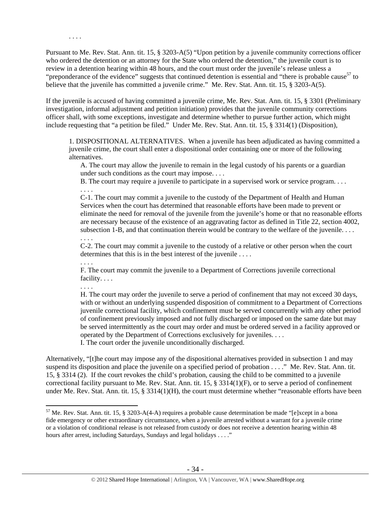Pursuant to Me. Rev. Stat. Ann. tit. 15, § 3203-A(5) "Upon petition by a juvenile community corrections officer who ordered the detention or an attorney for the State who ordered the detention," the juvenile court is to review in a detention hearing within 48 hours, and the court must order the juvenile's release unless a "preponderance of the evidence" suggests that continued detention is essential and "there is probable cause<sup>57</sup> to believe that the juvenile has committed a juvenile crime." Me. Rev. Stat. Ann. tit. 15, § 3203-A(5).

If the juvenile is accused of having committed a juvenile crime, Me. Rev. Stat. Ann. tit. 15, § 3301 (Preliminary investigation, informal adjustment and petition initiation) provides that the juvenile community corrections officer shall, with some exceptions, investigate and determine whether to pursue further action, which might include requesting that "a petition be filed." Under Me. Rev. Stat. Ann. tit. 15, § 3314(1) (Disposition),

1. DISPOSITIONAL ALTERNATIVES. When a juvenile has been adjudicated as having committed a juvenile crime, the court shall enter a dispositional order containing one or more of the following alternatives.

A. The court may allow the juvenile to remain in the legal custody of his parents or a guardian under such conditions as the court may impose. . . .

B. The court may require a juvenile to participate in a supervised work or service program. . . . . . . .

C-1. The court may commit a juvenile to the custody of the Department of Health and Human Services when the court has determined that reasonable efforts have been made to prevent or eliminate the need for removal of the juvenile from the juvenile's home or that no reasonable efforts are necessary because of the existence of an aggravating factor as defined in Title 22, section 4002, subsection 1-B, and that continuation therein would be contrary to the welfare of the juvenile. . . . . . . .

C-2. The court may commit a juvenile to the custody of a relative or other person when the court determines that this is in the best interest of the juvenile . . . .

. . . .

. . . .

F. The court may commit the juvenile to a Department of Corrections juvenile correctional facility. . . .

. . . .

 $\overline{a}$ 

H. The court may order the juvenile to serve a period of confinement that may not exceed 30 days, with or without an underlying suspended disposition of commitment to a Department of Corrections juvenile correctional facility, which confinement must be served concurrently with any other period of confinement previously imposed and not fully discharged or imposed on the same date but may be served intermittently as the court may order and must be ordered served in a facility approved or operated by the Department of Corrections exclusively for juveniles. . . . I. The court order the juvenile unconditionally discharged.

Alternatively, "[t]he court may impose any of the dispositional alternatives provided in subsection 1 and may suspend its disposition and place the juvenile on a specified period of probation . . . ." Me. Rev. Stat. Ann. tit. 15, § 3314 (2). If the court revokes the child's probation, causing the child to be committed to a juvenile correctional facility pursuant to Me. Rev. Stat. Ann. tit. 15, § 3314(1)(F), or to serve a period of confinement under Me. Rev. Stat. Ann. tit. 15, § 3314(1)(H), the court must determine whether "reasonable efforts have been

 $57$  Me. Rev. Stat. Ann. tit. 15, § 3203-A(4-A) requires a probable cause determination be made "[e]xcept in a bona fide emergency or other extraordinary circumstance, when a juvenile arrested without a warrant for a juvenile crime or a violation of conditional release is not released from custody or does not receive a detention hearing within 48 hours after arrest, including Saturdays, Sundays and legal holidays . . . ."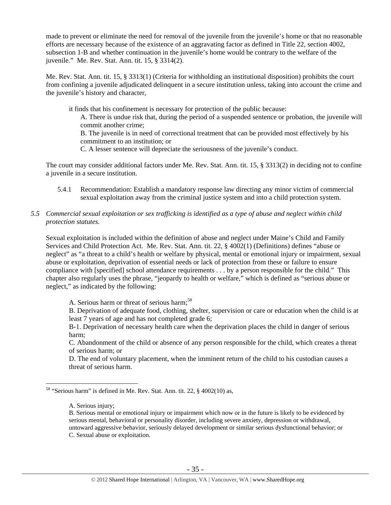made to prevent or eliminate the need for removal of the juvenile from the juvenile's home or that no reasonable efforts are necessary because of the existence of an aggravating factor as defined in Title 22, section 4002, subsection 1-B and whether continuation in the juvenile's home would be contrary to the welfare of the juvenile." Me. Rev. Stat. Ann. tit. 15, § 3314(2).

Me. Rev. Stat. Ann. tit. 15, § 3313(1) (Criteria for withholding an institutional disposition) prohibits the court from confining a juvenile adjudicated delinquent in a secure institution unless, taking into account the crime and the juvenile's history and character,

it finds that his confinement is necessary for protection of the public because:

A. There is undue risk that, during the period of a suspended sentence or probation, the juvenile will commit another crime;

B. The juvenile is in need of correctional treatment that can be provided most effectively by his commitment to an institution; or

C. A lesser sentence will depreciate the seriousness of the juvenile's conduct.

The court may consider additional factors under Me. Rev. Stat. Ann. tit. 15, § 3313(2) in deciding not to confine a juvenile in a secure institution.

- 5.4.1 Recommendation: Establish a mandatory response law directing any minor victim of commercial sexual exploitation away from the criminal justice system and into a child protection system.
- *5.5 Commercial sexual exploitation or sex trafficking is identified as a type of abuse and neglect within child protection statutes.*

Sexual exploitation is included within the definition of abuse and neglect under Maine's Child and Family Services and Child Protection Act. Me. Rev. Stat. Ann. tit. 22, § 4002(1) (Definitions) defines "abuse or neglect" as "a threat to a child's health or welfare by physical, mental or emotional injury or impairment, sexual abuse or exploitation, deprivation of essential needs or lack of protection from these or failure to ensure compliance with [specified] school attendance requirements . . . by a person responsible for the child." This chapter also regularly uses the phrase, "jeopardy to health or welfare," which is defined as "serious abuse or neglect," as indicated by the following:

A. Serious harm or threat of serious harm;<sup>58</sup>

B. Deprivation of adequate food, clothing, shelter, supervision or care or education when the child is at least 7 years of age and has not completed grade 6;

B-1. Deprivation of necessary health care when the deprivation places the child in danger of serious harm;

C. Abandonment of the child or absence of any person responsible for the child, which creates a threat of serious harm; or

D. The end of voluntary placement, when the imminent return of the child to his custodian causes a threat of serious harm.

<sup>58 &</sup>quot;Serious harm" is defined in Me. Rev. Stat. Ann. tit. 22, § 4002(10) as,

A. Serious injury;

B. Serious mental or emotional injury or impairment which now or in the future is likely to be evidenced by serious mental, behavioral or personality disorder, including severe anxiety, depression or withdrawal, untoward aggressive behavior, seriously delayed development or similar serious dysfunctional behavior; or C. Sexual abuse or exploitation.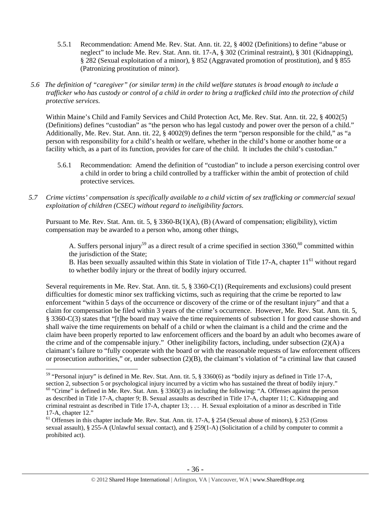- 5.5.1 Recommendation: Amend Me. Rev. Stat. Ann. tit. 22, § 4002 (Definitions) to define "abuse or neglect" to include Me. Rev. Stat. Ann. tit. 17-A, § 302 (Criminal restraint), § 301 (Kidnapping), § 282 (Sexual exploitation of a minor), § 852 (Aggravated promotion of prostitution), and § 855 (Patronizing prostitution of minor).
- *5.6 The definition of "caregiver" (or similar term) in the child welfare statutes is broad enough to include a trafficker who has custody or control of a child in order to bring a trafficked child into the protection of child protective services.*

Within Maine's Child and Family Services and Child Protection Act, Me. Rev. Stat. Ann. tit. 22, § 4002(5) (Definitions) defines "custodian" as "the person who has legal custody and power over the person of a child." Additionally, Me. Rev. Stat. Ann. tit. 22, § 4002(9) defines the term "person responsible for the child," as "a person with responsibility for a child's health or welfare, whether in the child's home or another home or a facility which, as a part of its function, provides for care of the child. It includes the child's custodian."

- 5.6.1 Recommendation: Amend the definition of "custodian" to include a person exercising control over a child in order to bring a child controlled by a trafficker within the ambit of protection of child protective services.
- *5.7 Crime victims' compensation is specifically available to a child victim of sex trafficking or commercial sexual exploitation of children (CSEC) without regard to ineligibility factors.*

Pursuant to Me. Rev. Stat. Ann. tit. 5, § 3360-B(1)(A), (B) (Award of compensation; eligibility), victim compensation may be awarded to a person who, among other things,

A. Suffers personal injury<sup>59</sup> as a direct result of a crime specified in section  $3360,^{60}$  committed within the jurisdiction of the State;

B. Has been sexually assaulted within this State in violation of Title 17-A, chapter  $11<sup>61</sup>$  without regard to whether bodily injury or the threat of bodily injury occurred.

Several requirements in Me. Rev. Stat. Ann. tit. 5, § 3360-C(1) (Requirements and exclusions) could present difficulties for domestic minor sex trafficking victims, such as requiring that the crime be reported to law enforcement "within 5 days of the occurrence or discovery of the crime or of the resultant injury" and that a claim for compensation be filed within 3 years of the crime's occurrence. However, Me. Rev. Stat. Ann. tit. 5, § 3360-C(3) states that "[t]he board may waive the time requirements of subsection 1 for good cause shown and shall waive the time requirements on behalf of a child or when the claimant is a child and the crime and the claim have been properly reported to law enforcement officers and the board by an adult who becomes aware of the crime and of the compensable injury." Other ineligibility factors, including, under subsection (2)(A) a claimant's failure to "fully cooperate with the board or with the reasonable requests of law enforcement officers or prosecution authorities," or, under subsection  $(2)(B)$ , the claimant's violation of "a criminal law that caused

<sup>59 &</sup>quot;Personal injury" is defined in Me. Rev. Stat. Ann. tit. 5, § 3360(6) as "bodily injury as defined in Title 17-A, section 2, subsection 5 or psychological injury incurred by a victim who has sustained the threat of bodily injury."

 $60$  "Crime" is defined in Me. Rev. Stat. Ann. § 3360(3) as including the following: "A. Offenses against the person as described in Title 17-A, chapter 9; B. Sexual assaults as described in Title 17-A, chapter 11; C. Kidnapping and criminal restraint as described in Title 17-A, chapter 13; . . . H. Sexual exploitation of a minor as described in Title 17-A, chapter 12."

 $61$  Offenses in this chapter include Me. Rev. Stat. Ann. tit. 17-A,  $\S$  254 (Sexual abuse of minors),  $\S$  253 (Gross sexual assault), § 255-A (Unlawful sexual contact), and § 259(1-A) (Solicitation of a child by computer to commit a prohibited act).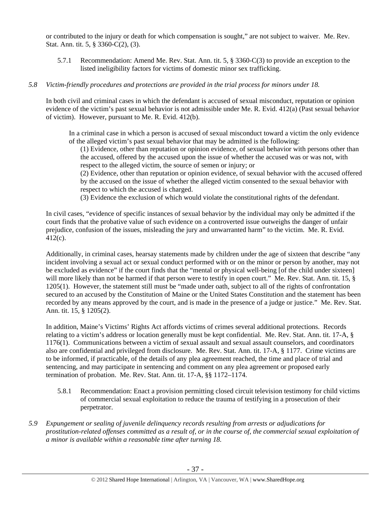or contributed to the injury or death for which compensation is sought," are not subject to waiver. Me. Rev. Stat. Ann. tit. 5, § 3360-C(2), (3).

5.7.1 Recommendation: Amend Me. Rev. Stat. Ann. tit. 5, § 3360-C(3) to provide an exception to the listed ineligibility factors for victims of domestic minor sex trafficking.

## *5.8 Victim-friendly procedures and protections are provided in the trial process for minors under 18.*

In both civil and criminal cases in which the defendant is accused of sexual misconduct, reputation or opinion evidence of the victim's past sexual behavior is not admissible under Me. R. Evid. 412(a) (Past sexual behavior of victim). However, pursuant to Me. R. Evid. 412(b).

In a criminal case in which a person is accused of sexual misconduct toward a victim the only evidence of the alleged victim's past sexual behavior that may be admitted is the following:

(1) Evidence, other than reputation or opinion evidence, of sexual behavior with persons other than the accused, offered by the accused upon the issue of whether the accused was or was not, with respect to the alleged victim, the source of semen or injury; or

(2) Evidence, other than reputation or opinion evidence, of sexual behavior with the accused offered by the accused on the issue of whether the alleged victim consented to the sexual behavior with respect to which the accused is charged.

(3) Evidence the exclusion of which would violate the constitutional rights of the defendant.

In civil cases, "evidence of specific instances of sexual behavior by the individual may only be admitted if the court finds that the probative value of such evidence on a controverted issue outweighs the danger of unfair prejudice, confusion of the issues, misleading the jury and unwarranted harm" to the victim. Me. R. Evid. 412(c).

Additionally, in criminal cases, hearsay statements made by children under the age of sixteen that describe "any incident involving a sexual act or sexual conduct performed with or on the minor or person by another, may not be excluded as evidence" if the court finds that the "mental or physical well-being [of the child under sixteen] will more likely than not be harmed if that person were to testify in open court." Me. Rev. Stat. Ann. tit. 15, § 1205(1). However, the statement still must be "made under oath, subject to all of the rights of confrontation secured to an accused by the Constitution of Maine or the United States Constitution and the statement has been recorded by any means approved by the court, and is made in the presence of a judge or justice." Me. Rev. Stat. Ann. tit. 15, § 1205(2).

In addition, Maine's Victims' Rights Act affords victims of crimes several additional protections. Records relating to a victim's address or location generally must be kept confidential. Me. Rev. Stat. Ann. tit. 17-A, § 1176(1). Communications between a victim of sexual assault and sexual assault counselors, and coordinators also are confidential and privileged from disclosure. Me. Rev. Stat. Ann. tit. 17-A, § 1177. Crime victims are to be informed, if practicable, of the details of any plea agreement reached, the time and place of trial and sentencing, and may participate in sentencing and comment on any plea agreement or proposed early termination of probation. Me. Rev. Stat. Ann. tit. 17-A, §§ 1172–1174.

- 5.8.1 Recommendation: Enact a provision permitting closed circuit television testimony for child victims of commercial sexual exploitation to reduce the trauma of testifying in a prosecution of their perpetrator.
- *5.9 Expungement or sealing of juvenile delinquency records resulting from arrests or adjudications for prostitution-related offenses committed as a result of, or in the course of, the commercial sexual exploitation of a minor is available within a reasonable time after turning 18.*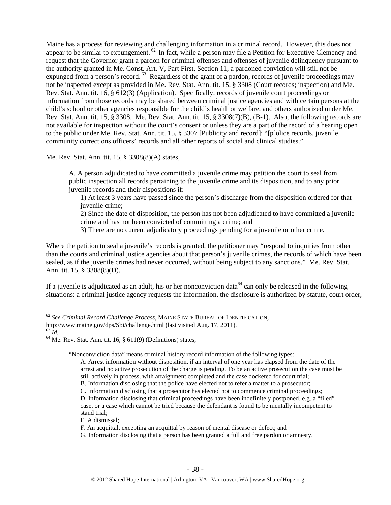Maine has a process for reviewing and challenging information in a criminal record. However, this does not appear to be similar to expungement. <sup>62</sup> In fact, while a person may file a Petition for Executive Clemency and request that the Governor grant a pardon for criminal offenses and offenses of juvenile delinquency pursuant to the authority granted in Me. Const. Art. V, Part First, Section 11, a pardoned conviction will still not be expunged from a person's record. <sup>63</sup> Regardless of the grant of a pardon, records of juvenile proceedings may not be inspected except as provided in Me. Rev. Stat. Ann. tit. 15, § 3308 (Court records; inspection) and Me. Rev. Stat. Ann. tit. 16, § 612(3) (Application). Specifically, records of juvenile court proceedings or information from those records may be shared between criminal justice agencies and with certain persons at the child's school or other agencies responsible for the child's health or welfare, and others authorized under Me. Rev. Stat. Ann. tit. 15, § 3308. Me. Rev. Stat. Ann. tit. 15, § 3308(7)(B), (B-1). Also, the following records are not available for inspection without the court's consent or unless they are a part of the record of a hearing open to the public under Me. Rev. Stat. Ann. tit. 15, § 3307 [Publicity and record]: "[p]olice records, juvenile community corrections officers' records and all other reports of social and clinical studies."

Me. Rev. Stat. Ann. tit. 15, § 3308(8)(A) states,

A. A person adjudicated to have committed a juvenile crime may petition the court to seal from public inspection all records pertaining to the juvenile crime and its disposition, and to any prior juvenile records and their dispositions if:

1) At least 3 years have passed since the person's discharge from the disposition ordered for that juvenile crime;

2) Since the date of disposition, the person has not been adjudicated to have committed a juvenile crime and has not been convicted of committing a crime; and

3) There are no current adjudicatory proceedings pending for a juvenile or other crime.

Where the petition to seal a juvenile's records is granted, the petitioner may "respond to inquiries from other than the courts and criminal justice agencies about that person's juvenile crimes, the records of which have been sealed, as if the juvenile crimes had never occurred, without being subject to any sanctions." Me. Rev. Stat. Ann. tit. 15, § 3308(8)(D).

If a juvenile is adjudicated as an adult, his or her nonconviction data<sup>64</sup> can only be released in the following situations: a criminal justice agency requests the information, the disclosure is authorized by statute, court order,

 $\overline{a}$ 

"Nonconviction data" means criminal history record information of the following types:

- A. Arrest information without disposition, if an interval of one year has elapsed from the date of the arrest and no active prosecution of the charge is pending. To be an active prosecution the case must be still actively in process, with arraignment completed and the case docketed for court trial;
- B. Information disclosing that the police have elected not to refer a matter to a prosecutor;
- C. Information disclosing that a prosecutor has elected not to commence criminal proceedings;

D. Information disclosing that criminal proceedings have been indefinitely postponed, e.g. a "filed" case, or a case which cannot be tried because the defendant is found to be mentally incompetent to stand trial;

E. A dismissal;

F. An acquittal, excepting an acquittal by reason of mental disease or defect; and

G. Information disclosing that a person has been granted a full and free pardon or amnesty.

<sup>62</sup> *See Criminal Record Challenge Process*, MAINE STATE BUREAU OF IDENTIFICATION,

http://www.maine.gov/dps/Sbi/challenge.html (last visited Aug. 17, 2011).<br><sup>63</sup> Id.

<sup>&</sup>lt;sup>64</sup> Me. Rev. Stat. Ann. tit. 16, § 611(9) (Definitions) states,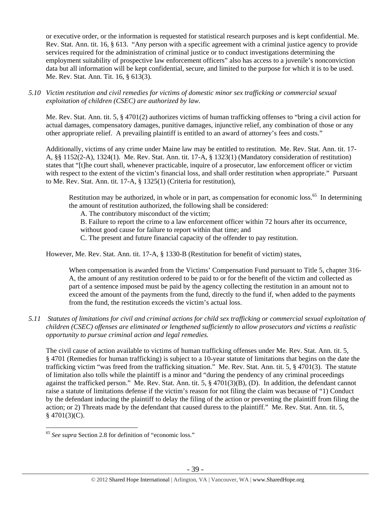or executive order, or the information is requested for statistical research purposes and is kept confidential. Me. Rev. Stat. Ann. tit. 16, § 613. "Any person with a specific agreement with a criminal justice agency to provide services required for the administration of criminal justice or to conduct investigations determining the employment suitability of prospective law enforcement officers" also has access to a juvenile's nonconviction data but all information will be kept confidential, secure, and limited to the purpose for which it is to be used. Me. Rev. Stat. Ann. Tit. 16, § 613(3).

## *5.10 Victim restitution and civil remedies for victims of domestic minor sex trafficking or commercial sexual exploitation of children (CSEC) are authorized by law.*

Me. Rev. Stat. Ann. tit. 5, § 4701(2) authorizes victims of human trafficking offenses to "bring a civil action for actual damages, compensatory damages, punitive damages, injunctive relief, any combination of those or any other appropriate relief. A prevailing plaintiff is entitled to an award of attorney's fees and costs."

Additionally, victims of any crime under Maine law may be entitled to restitution. Me. Rev. Stat. Ann. tit. 17- A, §§ 1152(2-A), 1324(1). Me. Rev. Stat. Ann. tit. 17-A, § 1323(1) (Mandatory consideration of restitution) states that "[t]he court shall, whenever practicable, inquire of a prosecutor, law enforcement officer or victim with respect to the extent of the victim's financial loss, and shall order restitution when appropriate." Pursuant to Me. Rev. Stat. Ann. tit. 17-A, § 1325(1) (Criteria for restitution),

Restitution may be authorized, in whole or in part, as compensation for economic loss.<sup>65</sup> In determining the amount of restitution authorized, the following shall be considered:

A. The contributory misconduct of the victim;

B. Failure to report the crime to a law enforcement officer within 72 hours after its occurrence,

without good cause for failure to report within that time; and

C. The present and future financial capacity of the offender to pay restitution.

However, Me. Rev. Stat. Ann. tit. 17-A, § 1330-B (Restitution for benefit of victim) states,

When compensation is awarded from the Victims' Compensation Fund pursuant to Title 5, chapter 316- A, the amount of any restitution ordered to be paid to or for the benefit of the victim and collected as part of a sentence imposed must be paid by the agency collecting the restitution in an amount not to exceed the amount of the payments from the fund, directly to the fund if, when added to the payments from the fund, the restitution exceeds the victim's actual loss.

## *5.11 Statutes of limitations for civil and criminal actions for child sex trafficking or commercial sexual exploitation of children (CSEC) offenses are eliminated or lengthened sufficiently to allow prosecutors and victims a realistic opportunity to pursue criminal action and legal remedies.*

The civil cause of action available to victims of human trafficking offenses under Me. Rev. Stat. Ann. tit. 5, § 4701 (Remedies for human trafficking) is subject to a 10-year statute of limitations that begins on the date the trafficking victim "was freed from the trafficking situation." Me. Rev. Stat. Ann. tit. 5, § 4701(3). The statute of limitation also tolls while the plaintiff is a minor and "during the pendency of any criminal proceedings against the trafficked person." Me. Rev. Stat. Ann. tit. 5, § 4701(3)(B), (D). In addition, the defendant cannot raise a statute of limitations defense if the victim's reason for not filing the claim was because of "1) Conduct by the defendant inducing the plaintiff to delay the filing of the action or preventing the plaintiff from filing the action; or 2) Threats made by the defendant that caused duress to the plaintiff." Me. Rev. Stat. Ann. tit. 5,  $§$  4701(3)(C).

 $\overline{a}$ <sup>65</sup> *See supra* Section 2.8 for definition of "economic loss."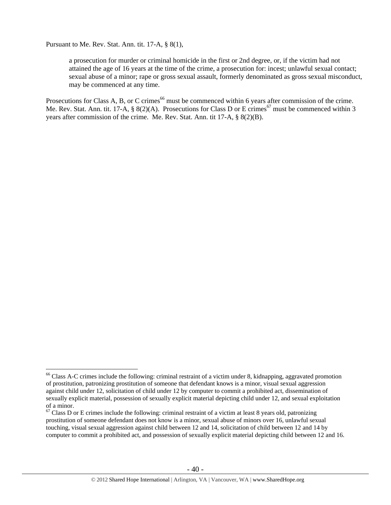Pursuant to Me. Rev. Stat. Ann. tit. 17-A, § 8(1),

 $\overline{a}$ 

a prosecution for murder or criminal homicide in the first or 2nd degree, or, if the victim had not attained the age of 16 years at the time of the crime, a prosecution for: incest; unlawful sexual contact; sexual abuse of a minor; rape or gross sexual assault, formerly denominated as gross sexual misconduct, may be commenced at any time.

Prosecutions for Class A, B, or C crimes<sup>66</sup> must be commenced within 6 years after commission of the crime. Me. Rev. Stat. Ann. tit. 17-A, § 8(2)(A). Prosecutions for Class D or E crimes<sup>67</sup> must be commenced within 3 years after commission of the crime. Me. Rev. Stat. Ann. tit 17-A, § 8(2)(B).

<sup>&</sup>lt;sup>66</sup> Class A-C crimes include the following: criminal restraint of a victim under 8, kidnapping, aggravated promotion of prostitution, patronizing prostitution of someone that defendant knows is a minor, visual sexual aggression against child under 12, solicitation of child under 12 by computer to commit a prohibited act, dissemination of sexually explicit material, possession of sexually explicit material depicting child under 12, and sexual exploitation of a minor.

 $67$  Class D or E crimes include the following: criminal restraint of a victim at least 8 years old, patronizing prostitution of someone defendant does not know is a minor, sexual abuse of minors over 16, unlawful sexual touching, visual sexual aggression against child between 12 and 14, solicitation of child between 12 and 14 by computer to commit a prohibited act, and possession of sexually explicit material depicting child between 12 and 16.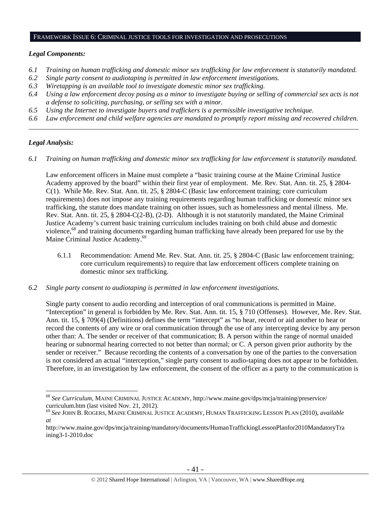#### FRAMEWORK ISSUE 6: CRIMINAL JUSTICE TOOLS FOR INVESTIGATION AND PROSECUTIONS

## *Legal Components:*

- *6.1 Training on human trafficking and domestic minor sex trafficking for law enforcement is statutorily mandated.*
- *6.2 Single party consent to audiotaping is permitted in law enforcement investigations.*
- *6.3 Wiretapping is an available tool to investigate domestic minor sex trafficking.*
- *6.4 Using a law enforcement decoy posing as a minor to investigate buying or selling of commercial sex acts is not a defense to soliciting, purchasing, or selling sex with a minor.*
- *6.5 Using the Internet to investigate buyers and traffickers is a permissible investigative technique.*
- *6.6 Law enforcement and child welfare agencies are mandated to promptly report missing and recovered children. \_\_\_\_\_\_\_\_\_\_\_\_\_\_\_\_\_\_\_\_\_\_\_\_\_\_\_\_\_\_\_\_\_\_\_\_\_\_\_\_\_\_\_\_\_\_\_\_\_\_\_\_\_\_\_\_\_\_\_\_\_\_\_\_\_\_\_\_\_\_\_\_\_\_\_\_\_\_\_\_\_\_\_\_\_\_\_\_\_\_\_\_\_\_*

# *Legal Analysis:*

*6.1 Training on human trafficking and domestic minor sex trafficking for law enforcement is statutorily mandated.*

Law enforcement officers in Maine must complete a "basic training course at the Maine Criminal Justice Academy approved by the board" within their first year of employment. Me. Rev. Stat. Ann. tit. 25, § 2804- C(1). While Me. Rev. Stat. Ann. tit. 25, § 2804-C (Basic law enforcement training; core curriculum requirements) does not impose any training requirements regarding human trafficking or domestic minor sex trafficking, the statute does mandate training on other issues, such as homelessness and mental illness. Me. Rev. Stat. Ann. tit. 25, § 2804-C(2-B), (2-D). Although it is not statutorily mandated, the Maine Criminal Justice Academy's current basic training curriculum includes training on both child abuse and domestic violence,68 and training documents regarding human trafficking have already been prepared for use by the Maine Criminal Justice Academy.<sup>69</sup>

- 6.1.1 Recommendation: Amend Me. Rev. Stat. Ann. tit. 25, § 2804-C (Basic law enforcement training; core curriculum requirements) to require that law enforcement officers complete training on domestic minor sex trafficking.
- *6.2 Single party consent to audiotaping is permitted in law enforcement investigations.*

Single party consent to audio recording and interception of oral communications is permitted in Maine. "Interception" in general is forbidden by Me. Rev. Stat. Ann. tit. 15, § 710 (Offenses). However, Me. Rev. Stat. Ann. tit. 15, § 709(4) (Definitions) defines the term "intercept" as "to hear, record or aid another to hear or record the contents of any wire or oral communication through the use of any intercepting device by any person other than: A. The sender or receiver of that communication; B. A person within the range of normal unaided hearing or subnormal hearing corrected to not better than normal; or C. A person given prior authority by the sender or receiver." Because recording the contents of a conversation by one of the parties to the conversation is not considered an actual "interception," single party consent to audio-taping does not appear to be forbidden. Therefore, in an investigation by law enforcement, the consent of the officer as a party to the communication is

 $\overline{a}$ <sup>68</sup> *See Curriculum*, MAINE CRIMINAL JUSTICE ACADEMY, http://www.maine.gov/dps/mcja/training/preservice/ curriculum.htm (last visited Nov. 21, 2012).

<sup>69</sup> *See* JOHN B. ROGERS, MAINE CRIMINAL JUSTICE ACADEMY, HUMAN TRAFFICKING LESSON PLAN (2010), *available at*

http://www.maine.gov/dps/mcja/training/mandatory/documents/HumanTraffickingLessonPlanfor2010MandatoryTra ining3-1-2010.doc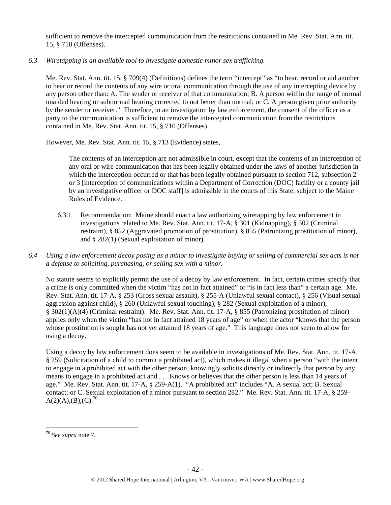sufficient to remove the intercepted communication from the restrictions contained in Me. Rev. Stat. Ann. tit. 15, § 710 (Offenses).

*6.3 Wiretapping is an available tool to investigate domestic minor sex trafficking.* 

Me. Rev. Stat. Ann. tit. 15, § 709(4) (Definitions) defines the term "intercept" as "to hear, record or aid another to hear or record the contents of any wire or oral communication through the use of any intercepting device by any person other than: A. The sender or receiver of that communication; B. A person within the range of normal unaided hearing or subnormal hearing corrected to not better than normal; or C. A person given prior authority by the sender or receiver." Therefore, in an investigation by law enforcement, the consent of the officer as a party to the communication is sufficient to remove the intercepted communication from the restrictions contained in Me. Rev. Stat. Ann. tit. 15, § 710 (Offenses).

However, Me. Rev. Stat. Ann. tit. 15, § 713 (Evidence) states,

The contents of an interception are not admissible in court, except that the contents of an interception of any oral or wire communication that has been legally obtained under the laws of another jurisdiction in which the interception occurred or that has been legally obtained pursuant to section 712, subsection 2 or 3 [interception of communications within a Department of Correction (DOC) facility or a county jail by an investigative officer or DOC staff] is admissible in the courts of this State, subject to the Maine Rules of Evidence.

- 6.3.1 Recommendation: Maine should enact a law authorizing wiretapping by law enforcement in investigations related to Me. Rev. Stat. Ann. tit. 17-A, § 301 (Kidnapping), § 302 (Criminal restraint), § 852 (Aggravated promotion of prostitution), § 855 (Patronizing prostitution of minor), and § 282(1) (Sexual exploitation of minor).
- *6.4 Using a law enforcement decoy posing as a minor to investigate buying or selling of commercial sex acts is not a defense to soliciting, purchasing, or selling sex with a minor.*

No statute seems to explicitly permit the use of a decoy by law enforcement. In fact, certain crimes specify that a crime is only committed when the victim "has not in fact attained" or "is in fact less than" a certain age. Me. Rev. Stat. Ann. tit. 17-A, § 253 (Gross sexual assault), § 255-A (Unlawful sexual contact), § 256 (Visual sexual aggression against child), § 260 (Unlawful sexual touching), § 282 (Sexual exploitation of a minor), § 302(1)(A)(4) (Criminal restraint). Me. Rev. Stat. Ann. tit. 17-A, § 855 (Patronizing prostitution of minor) applies only when the victim "has not in fact attained 18 years of age" or when the actor "knows that the person whose prostitution is sought has not yet attained 18 years of age." This language does not seem to allow for using a decoy.

Using a decoy by law enforcement does seem to be available in investigations of Me. Rev. Stat. Ann. tit. 17-A, § 259 (Solicitation of a child to commit a prohibited act), which makes it illegal when a person "with the intent to engage in a prohibited act with the other person, knowingly solicits directly or indirectly that person by any means to engage in a prohibited act and . . . Knows or believes that the other person is less than 14 years of age." Me. Rev. Stat. Ann. tit. 17-A, § 259-A(1). "A prohibited act" includes "A. A sexual act; B. Sexual contact; or C. Sexual exploitation of a minor pursuant to section 282." Me. Rev. Stat. Ann. tit. 17-A, § 259-  $A(2)(A),(B),(C).^{70}$ 

<sup>70</sup> *See supra* note 7.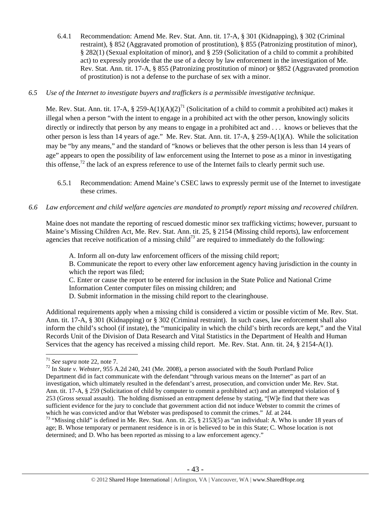6.4.1 Recommendation: Amend Me. Rev. Stat. Ann. tit. 17-A, § 301 (Kidnapping), § 302 (Criminal restraint), § 852 (Aggravated promotion of prostitution), § 855 (Patronizing prostitution of minor), § 282(1) (Sexual exploitation of minor), and § 259 (Solicitation of a child to commit a prohibited act) to expressly provide that the use of a decoy by law enforcement in the investigation of Me. Rev. Stat. Ann. tit. 17-A, § 855 (Patronizing prostitution of minor) or §852 (Aggravated promotion of prostitution) is not a defense to the purchase of sex with a minor.

## *6.5 Use of the Internet to investigate buyers and traffickers is a permissible investigative technique.*

Me. Rev. Stat. Ann. tit. 17-A, § 259-A(1)(A)(2)<sup>71</sup> (Solicitation of a child to commit a prohibited act) makes it illegal when a person "with the intent to engage in a prohibited act with the other person, knowingly solicits directly or indirectly that person by any means to engage in a prohibited act and . . . knows or believes that the other person is less than 14 years of age." Me. Rev. Stat. Ann. tit. 17-A, § 259-A(1)(A). While the solicitation may be "by any means," and the standard of "knows or believes that the other person is less than 14 years of age" appears to open the possibility of law enforcement using the Internet to pose as a minor in investigating this offense, $72$  the lack of an express reference to use of the Internet fails to clearly permit such use.

6.5.1 Recommendation: Amend Maine's CSEC laws to expressly permit use of the Internet to investigate these crimes.

## *6.6 Law enforcement and child welfare agencies are mandated to promptly report missing and recovered children.*

Maine does not mandate the reporting of rescued domestic minor sex trafficking victims; however, pursuant to Maine's Missing Children Act, Me. Rev. Stat. Ann. tit. 25, § 2154 (Missing child reports), law enforcement agencies that receive notification of a missing child<sup>73</sup> are required to immediately do the following:

A. Inform all on-duty law enforcement officers of the missing child report; B. Communicate the report to every other law enforcement agency having jurisdiction in the county in which the report was filed;

C. Enter or cause the report to be entered for inclusion in the State Police and National Crime Information Center computer files on missing children; and

Additional requirements apply when a missing child is considered a victim or possible victim of Me. Rev. Stat. Ann. tit. 17-A, § 301 (Kidnapping) or § 302 (Criminal restraint). In such cases, law enforcement shall also inform the child's school (if instate), the "municipality in which the child's birth records are kept," and the Vital Records Unit of the Division of Data Research and Vital Statistics in the Department of Health and Human Services that the agency has received a missing child report. Me. Rev. Stat. Ann. tit. 24, § 2154-A(1).

D. Submit information in the missing child report to the clearinghouse.

 $1$ <sup>71</sup> See supra note 22, note 7.

<sup>&</sup>lt;sup>72</sup> In *State v. Webster*, 955 A.2d 240, 241 (Me. 2008), a person associated with the South Portland Police Department did in fact communicate with the defendant "through various means on the Internet" as part of an investigation, which ultimately resulted in the defendant's arrest, prosecution, and conviction under Me. Rev. Stat. Ann. tit. 17-A, § 259 (Solicitation of child by computer to commit a prohibited act) and an attempted violation of § 253 (Gross sexual assault). The holding dismissed an entrapment defense by stating, "[W]e find that there was sufficient evidence for the jury to conclude that government action did not induce Webster to commit the crimes of which he was convicted and/or that Webster was predisposed to commit the crimes." *Id.* at 244.

<sup>&</sup>lt;sup>73</sup> "Missing child" is defined in Me. Rev. Stat. Ann. tit. 25, § 2153(5) as "an individual: A. Who is under 18 years of age; B. Whose temporary or permanent residence is in or is believed to be in this State; C. Whose location is not determined; and D. Who has been reported as missing to a law enforcement agency."